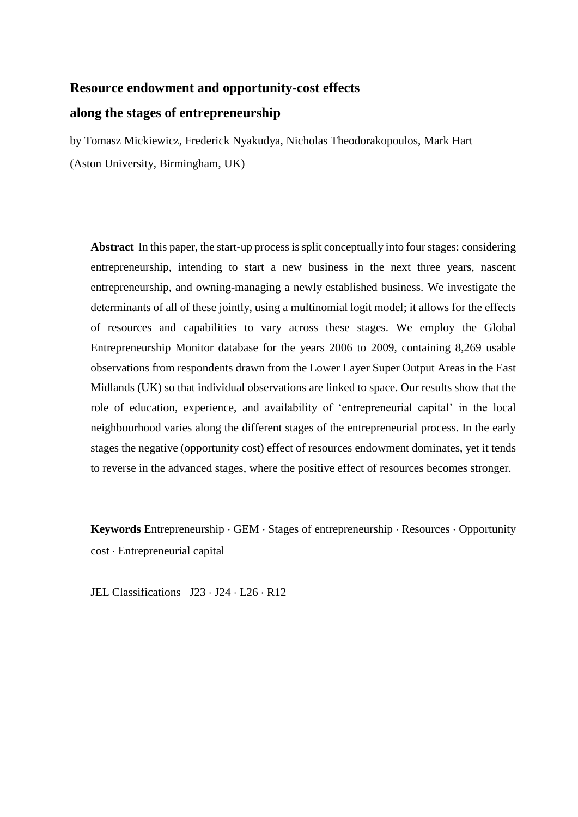# **Resource endowment and opportunity-cost effects along the stages of entrepreneurship**

by Tomasz Mickiewicz, Frederick Nyakudya, Nicholas Theodorakopoulos, Mark Hart (Aston University, Birmingham, UK)

**Abstract** In this paper, the start-up process is split conceptually into four stages: considering entrepreneurship, intending to start a new business in the next three years, nascent entrepreneurship, and owning-managing a newly established business. We investigate the determinants of all of these jointly, using a multinomial logit model; it allows for the effects of resources and capabilities to vary across these stages. We employ the Global Entrepreneurship Monitor database for the years 2006 to 2009, containing 8,269 usable observations from respondents drawn from the Lower Layer Super Output Areas in the East Midlands (UK) so that individual observations are linked to space. Our results show that the role of education, experience, and availability of 'entrepreneurial capital' in the local neighbourhood varies along the different stages of the entrepreneurial process. In the early stages the negative (opportunity cost) effect of resources endowment dominates, yet it tends to reverse in the advanced stages, where the positive effect of resources becomes stronger.

Keywords Entrepreneurship  $\cdot$  GEM  $\cdot$  Stages of entrepreneurship  $\cdot$  Resources  $\cdot$  Opportunity cost Entrepreneurial capital

JEL Classifications J23 · J24 · L26 · R12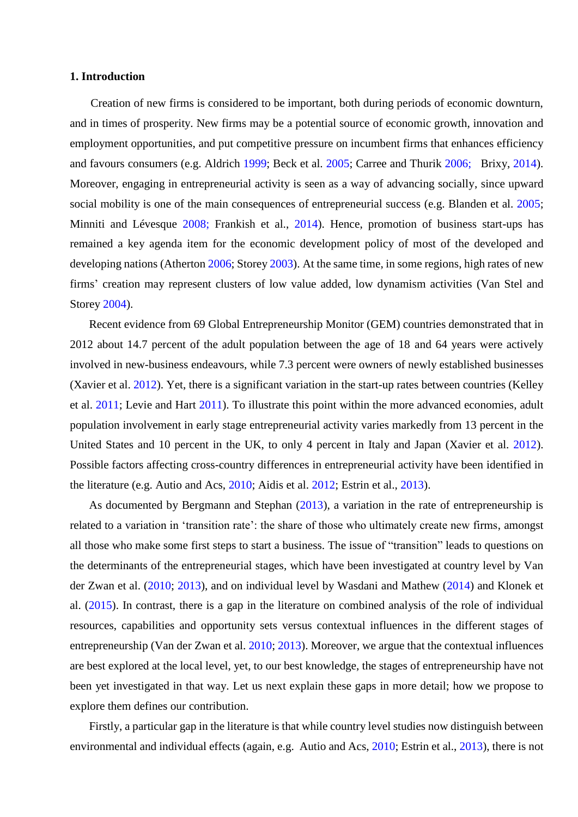## **1. Introduction**

Creation of new firms is considered to be important, both during periods of economic downturn, and in times of prosperity. New firms may be a potential source of economic growth, innovation and employment opportunities, and put competitive pressure on incumbent firms that enhances efficiency and favours consumers (e.g. Aldrich [1999;](#page-22-0) Beck et al. [2005;](#page-22-1) Carree and Thurik [2006;](#page-23-0) Brixy, [2014\)](#page-23-1). Moreover, engaging in entrepreneurial activity is seen as a way of advancing socially, since upward social mobility is one of the main consequences of entrepreneurial success (e.g. Blanden et al. [2005;](#page-22-2) Minniti and Lévesque [2008;](#page-27-0) Frankish et al., [2014\)](#page-24-0). Hence, promotion of business start-ups has remained a key agenda item for the economic development policy of most of the developed and developing nations (Atherton [2006;](#page-22-3) Storey [2003\)](#page-28-0). At the same time, in some regions, high rates of new firms' creation may represent clusters of low value added, low dynamism activities (Van Stel and Storey [2004\)](#page-28-1).

Recent evidence from 69 Global Entrepreneurship Monitor (GEM) countries demonstrated that in 2012 about 14.7 percent of the adult population between the age of 18 and 64 years were actively involved in new-business endeavours, while 7.3 percent were owners of newly established businesses (Xavier et al. [2012\)](#page-28-2). Yet, there is a significant variation in the start-up rates between countries (Kelley et al. [2011;](#page-26-0) Levie and Hart [2011\)](#page-27-1). To illustrate this point within the more advanced economies, adult population involvement in early stage entrepreneurial activity varies markedly from 13 percent in the United States and 10 percent in the UK, to only 4 percent in Italy and Japan (Xavier et al. [2012\)](#page-28-2). Possible factors affecting cross-country differences in entrepreneurial activity have been identified in the literature (e.g. Autio and Acs, [2010;](#page-22-4) Aidis et al. [2012;](#page-22-5) Estrin et al., [2013\)](#page-24-1).

As documented by Bergmann and Stephan [\(2013\)](#page-22-6), a variation in the rate of entrepreneurship is related to a variation in 'transition rate': the share of those who ultimately create new firms, amongst all those who make some first steps to start a business. The issue of "transition" leads to questions on the determinants of the entrepreneurial stages, which have been investigated at country level by Van der Zwan et al. [\(2010;](#page-28-3) [2013\)](#page-28-4), and on individual level by Wasdani and Mathew [\(2014\)](#page-28-5) and Klonek et al. [\(2015\)](#page-26-1). In contrast, there is a gap in the literature on combined analysis of the role of individual resources, capabilities and opportunity sets versus contextual influences in the different stages of entrepreneurship (Van der Zwan et al. [2010;](#page-28-3) [2013\)](#page-28-4). Moreover, we argue that the contextual influences are best explored at the local level, yet, to our best knowledge, the stages of entrepreneurship have not been yet investigated in that way. Let us next explain these gaps in more detail; how we propose to explore them defines our contribution.

Firstly, a particular gap in the literature is that while country level studies now distinguish between environmental and individual effects (again, e.g. Autio and Acs, [2010;](#page-22-4) Estrin et al., [2013\)](#page-24-1), there is not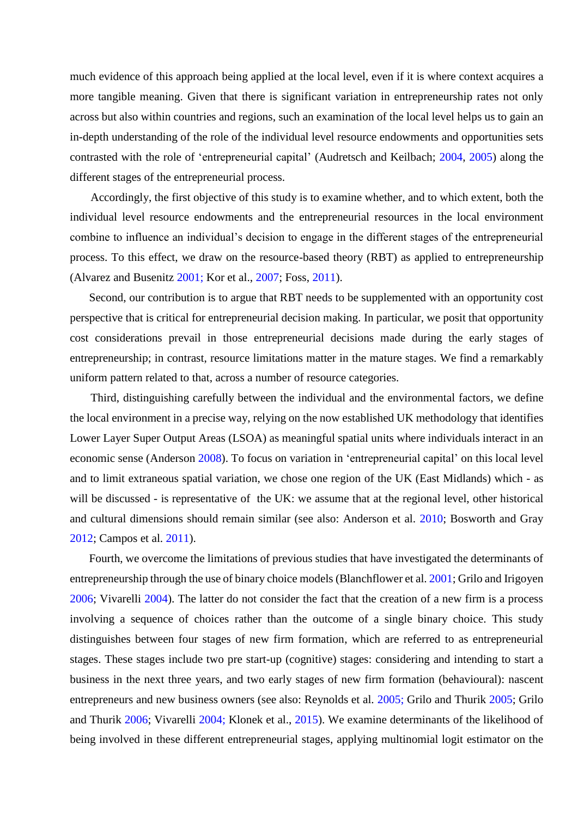much evidence of this approach being applied at the local level, even if it is where context acquires a more tangible meaning. Given that there is significant variation in entrepreneurship rates not only across but also within countries and regions, such an examination of the local level helps us to gain an in-depth understanding of the role of the individual level resource endowments and opportunities sets contrasted with the role of 'entrepreneurial capital' (Audretsch and Keilbach; [2004,](#page-22-7) [2005\)](#page-22-8) along the different stages of the entrepreneurial process.

Accordingly, the first objective of this study is to examine whether, and to which extent, both the individual level resource endowments and the entrepreneurial resources in the local environment combine to influence an individual's decision to engage in the different stages of the entrepreneurial process. To this effect, we draw on the resource-based theory (RBT) as applied to entrepreneurship (Alvarez and Busenitz [2001;](#page-22-9) Kor et al., [2007;](#page-26-2) Foss, [2011\)](#page-24-2).

Second, our contribution is to argue that RBT needs to be supplemented with an opportunity cost perspective that is critical for entrepreneurial decision making. In particular, we posit that opportunity cost considerations prevail in those entrepreneurial decisions made during the early stages of entrepreneurship; in contrast, resource limitations matter in the mature stages. We find a remarkably uniform pattern related to that, across a number of resource categories.

Third, distinguishing carefully between the individual and the environmental factors, we define the local environment in a precise way, relying on the now established UK methodology that identifies Lower Layer Super Output Areas (LSOA) as meaningful spatial units where individuals interact in an economic sense (Anderson [2008\)](#page-22-10). To focus on variation in 'entrepreneurial capital' on this local level and to limit extraneous spatial variation, we chose one region of the UK (East Midlands) which - as will be discussed - is representative of the UK: we assume that at the regional level, other historical and cultural dimensions should remain similar (see also: Anderson et al. [2010;](#page-22-11) Bosworth and Gray [2012;](#page-23-2) Campos et al. [2011\)](#page-23-3).

Fourth, we overcome the limitations of previous studies that have investigated the determinants of entrepreneurship through the use of binary choice models (Blanchflower et al. [2001;](#page-22-12) Grilo and Irigoyen [2006;](#page-26-3) Vivarelli [2004\)](#page-28-6). The latter do not consider the fact that the creation of a new firm is a process involving a sequence of choices rather than the outcome of a single binary choice. This study distinguishes between four stages of new firm formation, which are referred to as entrepreneurial stages. These stages include two pre start-up (cognitive) stages: considering and intending to start a business in the next three years, and two early stages of new firm formation (behavioural): nascent entrepreneurs and new business owners (see also: Reynolds et al. [2005;](#page-27-2) Grilo and Thurik [2005;](#page-26-4) Grilo and Thurik [2006;](#page-26-5) Vivarelli [2004;](#page-28-6) Klonek et al., [2015\)](#page-26-1). We examine determinants of the likelihood of being involved in these different entrepreneurial stages, applying multinomial logit estimator on the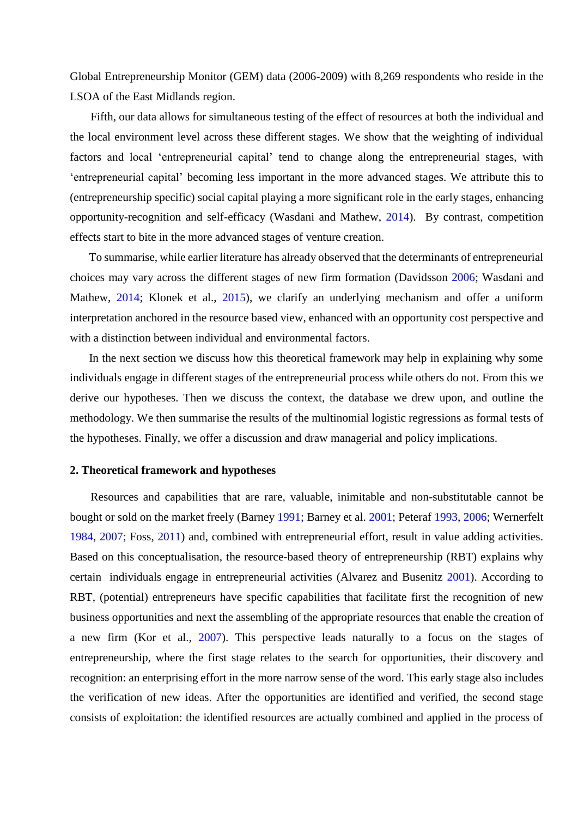Global Entrepreneurship Monitor (GEM) data (2006-2009) with 8,269 respondents who reside in the LSOA of the East Midlands region.

Fifth, our data allows for simultaneous testing of the effect of resources at both the individual and the local environment level across these different stages. We show that the weighting of individual factors and local 'entrepreneurial capital' tend to change along the entrepreneurial stages, with 'entrepreneurial capital' becoming less important in the more advanced stages. We attribute this to (entrepreneurship specific) social capital playing a more significant role in the early stages, enhancing opportunity-recognition and self-efficacy (Wasdani and Mathew, [2014\)](#page-28-5). By contrast, competition effects start to bite in the more advanced stages of venture creation.

To summarise, while earlier literature has already observed that the determinants of entrepreneurial choices may vary across the different stages of new firm formation (Davidsson [2006;](#page-24-3) Wasdani and Mathew, [2014;](#page-28-5) Klonek et al., [2015\)](#page-26-1), we clarify an underlying mechanism and offer a uniform interpretation anchored in the resource based view, enhanced with an opportunity cost perspective and with a distinction between individual and environmental factors.

In the next section we discuss how this theoretical framework may help in explaining why some individuals engage in different stages of the entrepreneurial process while others do not. From this we derive our hypotheses. Then we discuss the context, the database we drew upon, and outline the methodology. We then summarise the results of the multinomial logistic regressions as formal tests of the hypotheses. Finally, we offer a discussion and draw managerial and policy implications.

#### **2. Theoretical framework and hypotheses**

Resources and capabilities that are rare, valuable, inimitable and non-substitutable cannot be bought or sold on the market freely (Barney [1991;](#page-22-13) Barney et al. [2001;](#page-22-14) Peteraf [1993,](#page-27-3) [2006;](#page-27-4) Wernerfelt [1984,](#page-28-7) [2007;](#page-28-8) Foss, [2011\)](#page-24-2) and, combined with entrepreneurial effort, result in value adding activities. Based on this conceptualisation, the resource-based theory of entrepreneurship (RBT) explains why certain individuals engage in entrepreneurial activities (Alvarez and Busenitz [2001\)](#page-22-9). According to RBT, (potential) entrepreneurs have specific capabilities that facilitate first the recognition of new business opportunities and next the assembling of the appropriate resources that enable the creation of a new firm (Kor et al., [2007\)](#page-26-2). This perspective leads naturally to a focus on the stages of entrepreneurship, where the first stage relates to the search for opportunities, their discovery and recognition: an enterprising effort in the more narrow sense of the word. This early stage also includes the verification of new ideas. After the opportunities are identified and verified, the second stage consists of exploitation: the identified resources are actually combined and applied in the process of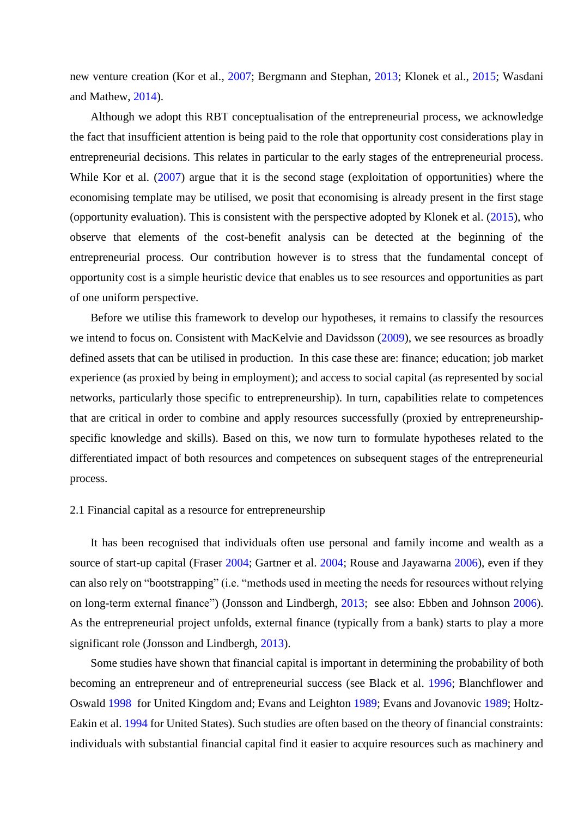new venture creation (Kor et al., [2007;](#page-26-2) Bergmann and Stephan, [2013;](#page-22-6) Klonek et al., [2015;](#page-26-1) Wasdani and Mathew, [2014\)](#page-28-5).

Although we adopt this RBT conceptualisation of the entrepreneurial process, we acknowledge the fact that insufficient attention is being paid to the role that opportunity cost considerations play in entrepreneurial decisions. This relates in particular to the early stages of the entrepreneurial process. While Kor et al. [\(2007\)](#page-26-2) argue that it is the second stage (exploitation of opportunities) where the economising template may be utilised, we posit that economising is already present in the first stage (opportunity evaluation). This is consistent with the perspective adopted by Klonek et al. [\(2015\)](#page-26-1), who observe that elements of the cost-benefit analysis can be detected at the beginning of the entrepreneurial process. Our contribution however is to stress that the fundamental concept of opportunity cost is a simple heuristic device that enables us to see resources and opportunities as part of one uniform perspective.

Before we utilise this framework to develop our hypotheses, it remains to classify the resources we intend to focus on. Consistent with MacKelvie and Davidsson [\(2009\)](#page-27-5), we see resources as broadly defined assets that can be utilised in production. In this case these are: finance; education; job market experience (as proxied by being in employment); and access to social capital (as represented by social networks, particularly those specific to entrepreneurship). In turn, capabilities relate to competences that are critical in order to combine and apply resources successfully (proxied by entrepreneurshipspecific knowledge and skills). Based on this, we now turn to formulate hypotheses related to the differentiated impact of both resources and competences on subsequent stages of the entrepreneurial process.

#### 2.1 Financial capital as a resource for entrepreneurship

It has been recognised that individuals often use personal and family income and wealth as a source of start-up capital (Fraser [2004;](#page-24-4) Gartner et al. [2004;](#page-26-6) Rouse and Jayawarna [2006\)](#page-27-6), even if they can also rely on "bootstrapping" (i.e. "methods used in meeting the needs for resources without relying on long-term external finance") (Jonsson and Lindbergh, [2013;](#page-26-7) see also: Ebben and Johnson [2006\)](#page-24-5). As the entrepreneurial project unfolds, external finance (typically from a bank) starts to play a more significant role (Jonsson and Lindbergh, [2013\)](#page-26-7).

Some studies have shown that financial capital is important in determining the probability of both becoming an entrepreneur and of entrepreneurial success (see Black et al. [1996;](#page-22-15) Blanchflower and Oswald [1998](#page-22-16) for United Kingdom and; Evans and Leighton [1989;](#page-24-6) Evans and Jovanovic [1989;](#page-24-7) Holtz-Eakin et al. [1994](#page-26-8) for United States). Such studies are often based on the theory of financial constraints: individuals with substantial financial capital find it easier to acquire resources such as machinery and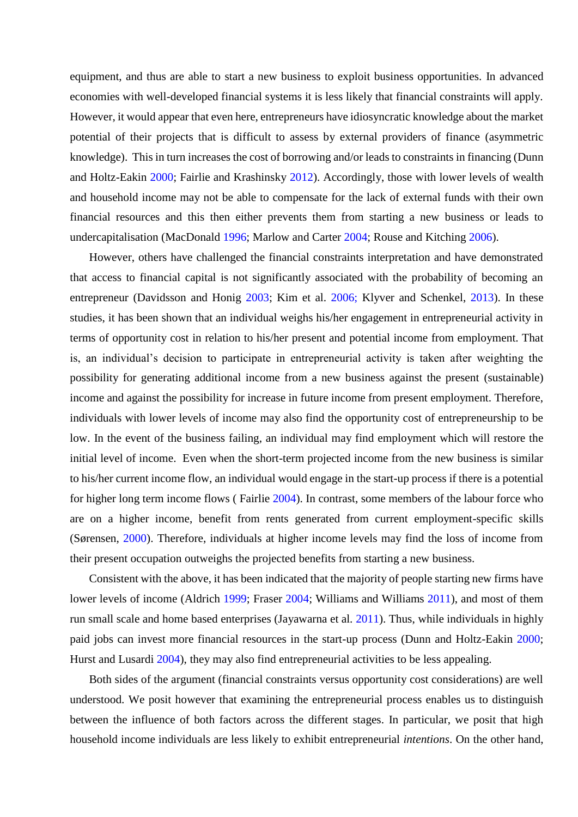equipment, and thus are able to start a new business to exploit business opportunities. In advanced economies with well-developed financial systems it is less likely that financial constraints will apply. However, it would appear that even here, entrepreneurs have idiosyncratic knowledge about the market potential of their projects that is difficult to assess by external providers of finance (asymmetric knowledge). This in turn increases the cost of borrowing and/or leads to constraints in financing (Dunn and Holtz-Eakin [2000;](#page-24-8) Fairlie and Krashinsky [2012\)](#page-24-9). Accordingly, those with lower levels of wealth and household income may not be able to compensate for the lack of external funds with their own financial resources and this then either prevents them from starting a new business or leads to undercapitalisation (MacDonald [1996;](#page-27-7) Marlow and Carter [2004;](#page-27-8) Rouse and Kitching [2006\)](#page-27-9).

However, others have challenged the financial constraints interpretation and have demonstrated that access to financial capital is not significantly associated with the probability of becoming an entrepreneur (Davidsson and Honig [2003;](#page-24-10) Kim et al. [2006;](#page-26-9) Klyver and Schenkel, [2013\)](#page-26-10). In these studies, it has been shown that an individual weighs his/her engagement in entrepreneurial activity in terms of opportunity cost in relation to his/her present and potential income from employment. That is, an individual's decision to participate in entrepreneurial activity is taken after weighting the possibility for generating additional income from a new business against the present (sustainable) income and against the possibility for increase in future income from present employment. Therefore, individuals with lower levels of income may also find the opportunity cost of entrepreneurship to be low. In the event of the business failing, an individual may find employment which will restore the initial level of income. Even when the short-term projected income from the new business is similar to his/her current income flow, an individual would engage in the start-up process if there is a potential for higher long term income flows ( Fairlie [2004\)](#page-24-11). In contrast, some members of the labour force who are on a higher income, benefit from rents generated from current employment-specific skills (Sørensen, [2000\)](#page-28-9). Therefore, individuals at higher income levels may find the loss of income from their present occupation outweighs the projected benefits from starting a new business.

Consistent with the above, it has been indicated that the majority of people starting new firms have lower levels of income (Aldrich [1999;](#page-22-0) Fraser [2004;](#page-24-4) Williams and Williams [2011\)](#page-28-10), and most of them run small scale and home based enterprises (Jayawarna et al. [2011\)](#page-26-11). Thus, while individuals in highly paid jobs can invest more financial resources in the start-up process (Dunn and Holtz-Eakin [2000;](#page-24-8) Hurst and Lusardi [2004\)](#page-26-12), they may also find entrepreneurial activities to be less appealing.

Both sides of the argument (financial constraints versus opportunity cost considerations) are well understood. We posit however that examining the entrepreneurial process enables us to distinguish between the influence of both factors across the different stages. In particular, we posit that high household income individuals are less likely to exhibit entrepreneurial *intentions*. On the other hand,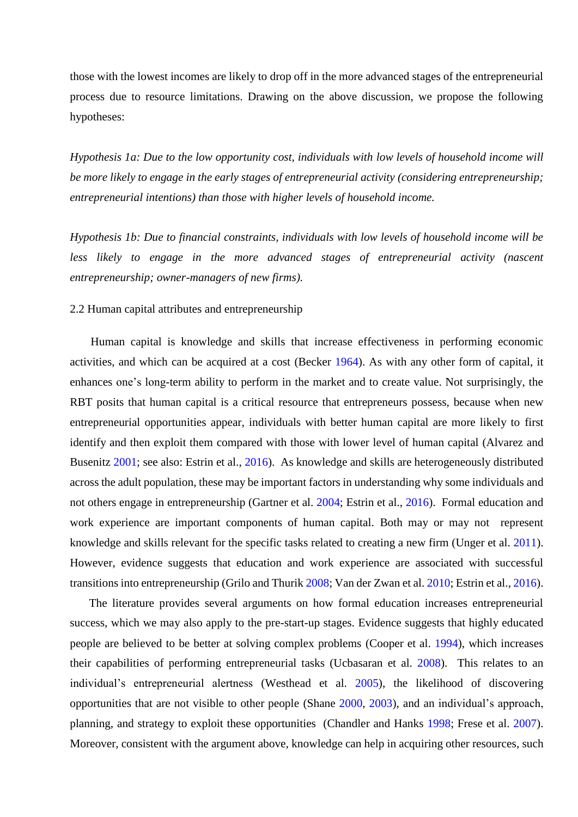those with the lowest incomes are likely to drop off in the more advanced stages of the entrepreneurial process due to resource limitations. Drawing on the above discussion, we propose the following hypotheses:

*Hypothesis 1a: Due to the low opportunity cost, individuals with low levels of household income will be more likely to engage in the early stages of entrepreneurial activity (considering entrepreneurship; entrepreneurial intentions) than those with higher levels of household income.*

*Hypothesis 1b: Due to financial constraints, individuals with low levels of household income will be*  less likely to engage in the more advanced stages of entrepreneurial activity (nascent *entrepreneurship; owner-managers of new firms).*

#### 2.2 Human capital attributes and entrepreneurship

Human capital is knowledge and skills that increase effectiveness in performing economic activities, and which can be acquired at a cost (Becker [1964\)](#page-22-17). As with any other form of capital, it enhances one's long-term ability to perform in the market and to create value. Not surprisingly, the RBT posits that human capital is a critical resource that entrepreneurs possess, because when new entrepreneurial opportunities appear, individuals with better human capital are more likely to first identify and then exploit them compared with those with lower level of human capital (Alvarez and Busenitz [2001;](#page-22-9) see also: Estrin et al., [2016\)](#page-24-12). As knowledge and skills are heterogeneously distributed across the adult population, these may be important factors in understanding why some individuals and not others engage in entrepreneurship (Gartner et al. [2004;](#page-26-6) Estrin et al., [2016\)](#page-24-12). Formal education and work experience are important components of human capital. Both may or may not represent knowledge and skills relevant for the specific tasks related to creating a new firm (Unger et al. [2011\)](#page-28-11). However, evidence suggests that education and work experience are associated with successful transitions into entrepreneurship (Grilo and Thurik [2008;](#page-26-13) Van der Zwan et al. [2010;](#page-28-3) Estrin et al., [2016\)](#page-24-12).

The literature provides several arguments on how formal education increases entrepreneurial success, which we may also apply to the pre-start-up stages. Evidence suggests that highly educated people are believed to be better at solving complex problems (Cooper et al. [1994\)](#page-24-13), which increases their capabilities of performing entrepreneurial tasks (Ucbasaran et al. [2008\)](#page-28-12). This relates to an individual's entrepreneurial alertness (Westhead et al. [2005\)](#page-28-8), the likelihood of discovering opportunities that are not visible to other people (Shane [2000,](#page-28-13) [2003\)](#page-28-14), and an individual's approach, planning, and strategy to exploit these opportunities (Chandler and Hanks [1998;](#page-24-14) Frese et al. [2007\)](#page-25-0). Moreover, consistent with the argument above, knowledge can help in acquiring other resources, such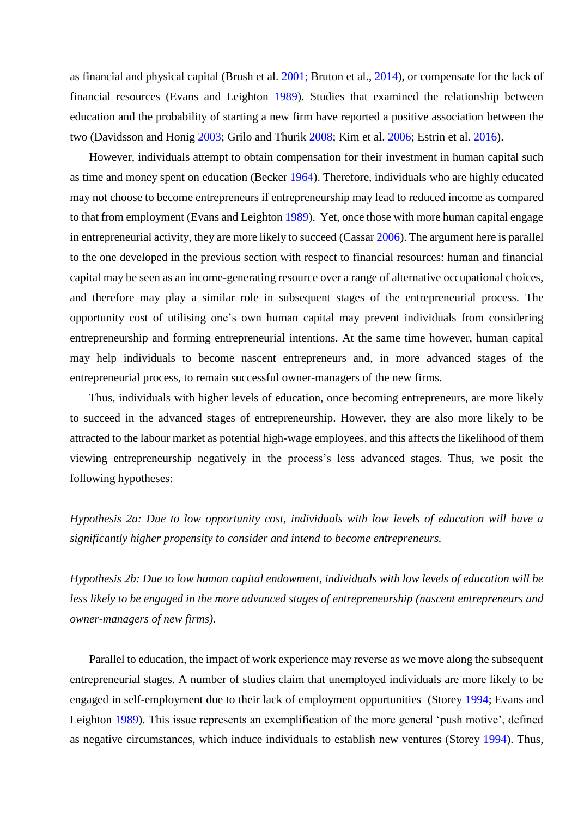as financial and physical capital (Brush et al. [2001;](#page-23-4) Bruton et al., [2014\)](#page-23-5), or compensate for the lack of financial resources (Evans and Leighton [1989\)](#page-24-6). Studies that examined the relationship between education and the probability of starting a new firm have reported a positive association between the two (Davidsson and Honig [2003;](#page-24-10) Grilo and Thurik [2008;](#page-26-13) Kim et al. [2006;](#page-26-9) Estrin et al. [2016\)](#page-24-12).

However, individuals attempt to obtain compensation for their investment in human capital such as time and money spent on education (Becker [1964\)](#page-22-17). Therefore, individuals who are highly educated may not choose to become entrepreneurs if entrepreneurship may lead to reduced income as compared to that from employment (Evans and Leighton [1989\)](#page-24-6). Yet, once those with more human capital engage in entrepreneurial activity, they are more likely to succeed (Cassar [2006\)](#page-24-15). The argument here is parallel to the one developed in the previous section with respect to financial resources: human and financial capital may be seen as an income-generating resource over a range of alternative occupational choices, and therefore may play a similar role in subsequent stages of the entrepreneurial process. The opportunity cost of utilising one's own human capital may prevent individuals from considering entrepreneurship and forming entrepreneurial intentions. At the same time however, human capital may help individuals to become nascent entrepreneurs and, in more advanced stages of the entrepreneurial process, to remain successful owner-managers of the new firms.

Thus, individuals with higher levels of education, once becoming entrepreneurs, are more likely to succeed in the advanced stages of entrepreneurship. However, they are also more likely to be attracted to the labour market as potential high-wage employees, and this affects the likelihood of them viewing entrepreneurship negatively in the process's less advanced stages. Thus, we posit the following hypotheses:

*Hypothesis 2a: Due to low opportunity cost, individuals with low levels of education will have a significantly higher propensity to consider and intend to become entrepreneurs.* 

*Hypothesis 2b: Due to low human capital endowment, individuals with low levels of education will be less likely to be engaged in the more advanced stages of entrepreneurship (nascent entrepreneurs and owner-managers of new firms).*

Parallel to education, the impact of work experience may reverse as we move along the subsequent entrepreneurial stages. A number of studies claim that unemployed individuals are more likely to be engaged in self-employment due to their lack of employment opportunities (Storey [1994;](#page-28-15) Evans and Leighton [1989\)](#page-24-6). This issue represents an exemplification of the more general 'push motive', defined as negative circumstances, which induce individuals to establish new ventures (Storey [1994\)](#page-28-15). Thus,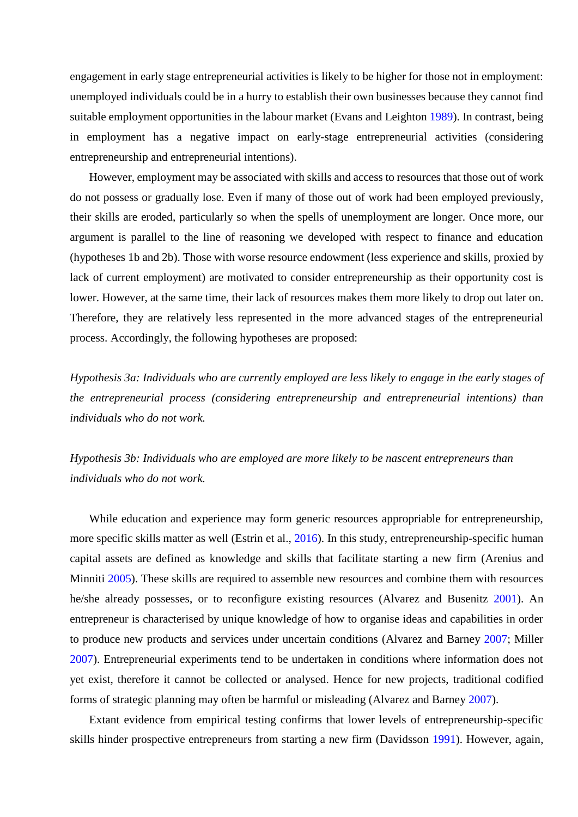engagement in early stage entrepreneurial activities is likely to be higher for those not in employment: unemployed individuals could be in a hurry to establish their own businesses because they cannot find suitable employment opportunities in the labour market (Evans and Leighton [1989\)](#page-24-6). In contrast, being in employment has a negative impact on early-stage entrepreneurial activities (considering entrepreneurship and entrepreneurial intentions).

However, employment may be associated with skills and access to resources that those out of work do not possess or gradually lose. Even if many of those out of work had been employed previously, their skills are eroded, particularly so when the spells of unemployment are longer. Once more, our argument is parallel to the line of reasoning we developed with respect to finance and education (hypotheses 1b and 2b). Those with worse resource endowment (less experience and skills, proxied by lack of current employment) are motivated to consider entrepreneurship as their opportunity cost is lower. However, at the same time, their lack of resources makes them more likely to drop out later on. Therefore, they are relatively less represented in the more advanced stages of the entrepreneurial process. Accordingly, the following hypotheses are proposed:

*Hypothesis 3a: Individuals who are currently employed are less likely to engage in the early stages of the entrepreneurial process (considering entrepreneurship and entrepreneurial intentions) than individuals who do not work.*

*Hypothesis 3b: Individuals who are employed are more likely to be nascent entrepreneurs than individuals who do not work.* 

While education and experience may form generic resources appropriable for entrepreneurship, more specific skills matter as well (Estrin et al., [2016\)](#page-24-12). In this study, entrepreneurship-specific human capital assets are defined as knowledge and skills that facilitate starting a new firm (Arenius and Minniti [2005\)](#page-22-18). These skills are required to assemble new resources and combine them with resources he/she already possesses, or to reconfigure existing resources (Alvarez and Busenitz [2001\)](#page-22-9). An entrepreneur is characterised by unique knowledge of how to organise ideas and capabilities in order to produce new products and services under uncertain conditions (Alvarez and Barney [2007;](#page-22-19) Miller [2007\)](#page-27-10). Entrepreneurial experiments tend to be undertaken in conditions where information does not yet exist, therefore it cannot be collected or analysed. Hence for new projects, traditional codified forms of strategic planning may often be harmful or misleading (Alvarez and Barney [2007\)](#page-22-19).

Extant evidence from empirical testing confirms that lower levels of entrepreneurship-specific skills hinder prospective entrepreneurs from starting a new firm (Davidsson [1991\)](#page-24-16). However, again,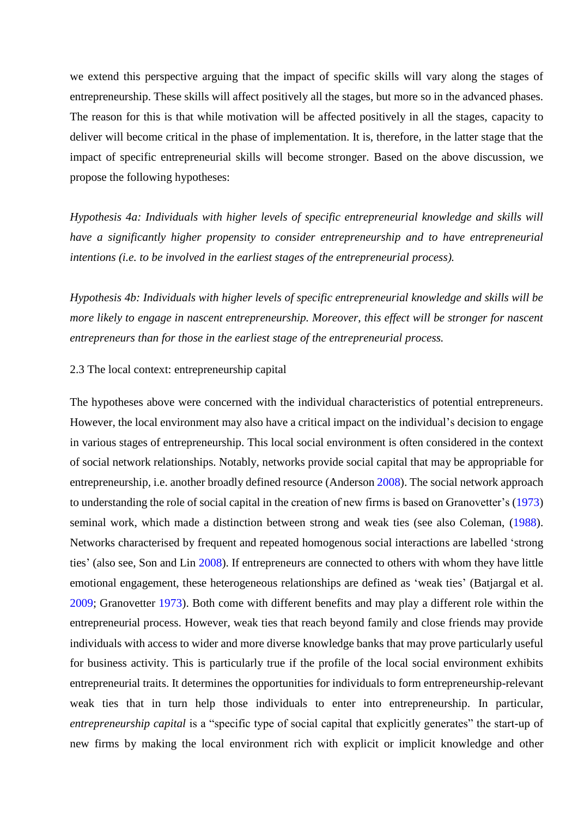we extend this perspective arguing that the impact of specific skills will vary along the stages of entrepreneurship. These skills will affect positively all the stages, but more so in the advanced phases. The reason for this is that while motivation will be affected positively in all the stages, capacity to deliver will become critical in the phase of implementation. It is, therefore, in the latter stage that the impact of specific entrepreneurial skills will become stronger. Based on the above discussion, we propose the following hypotheses:

*Hypothesis 4a: Individuals with higher levels of specific entrepreneurial knowledge and skills will have a significantly higher propensity to consider entrepreneurship and to have entrepreneurial intentions (i.e. to be involved in the earliest stages of the entrepreneurial process).*

*Hypothesis 4b: Individuals with higher levels of specific entrepreneurial knowledge and skills will be more likely to engage in nascent entrepreneurship. Moreover, this effect will be stronger for nascent entrepreneurs than for those in the earliest stage of the entrepreneurial process.*

# 2.3 The local context: entrepreneurship capital

The hypotheses above were concerned with the individual characteristics of potential entrepreneurs. However, the local environment may also have a critical impact on the individual's decision to engage in various stages of entrepreneurship. This local social environment is often considered in the context of social network relationships. Notably, networks provide social capital that may be appropriable for entrepreneurship, i.e. another broadly defined resource (Anderson [2008\)](#page-22-10). The social network approach to understanding the role of social capital in the creation of new firms is based on Granovetter's [\(1973\)](#page-26-14) seminal work, which made a distinction between strong and weak ties (see also Coleman, [\(1988\)](#page-24-17). Networks characterised by frequent and repeated homogenous social interactions are labelled 'strong ties' (also see, Son and Lin [2008\)](#page-28-16). If entrepreneurs are connected to others with whom they have little emotional engagement, these heterogeneous relationships are defined as 'weak ties' (Batjargal et al. [2009;](#page-22-20) Granovetter [1973\)](#page-26-14). Both come with different benefits and may play a different role within the entrepreneurial process. However, weak ties that reach beyond family and close friends may provide individuals with access to wider and more diverse knowledge banks that may prove particularly useful for business activity. This is particularly true if the profile of the local social environment exhibits entrepreneurial traits. It determines the opportunities for individuals to form entrepreneurship-relevant weak ties that in turn help those individuals to enter into entrepreneurship. In particular, *entrepreneurship capital* is a "specific type of social capital that explicitly generates" the start-up of new firms by making the local environment rich with explicit or implicit knowledge and other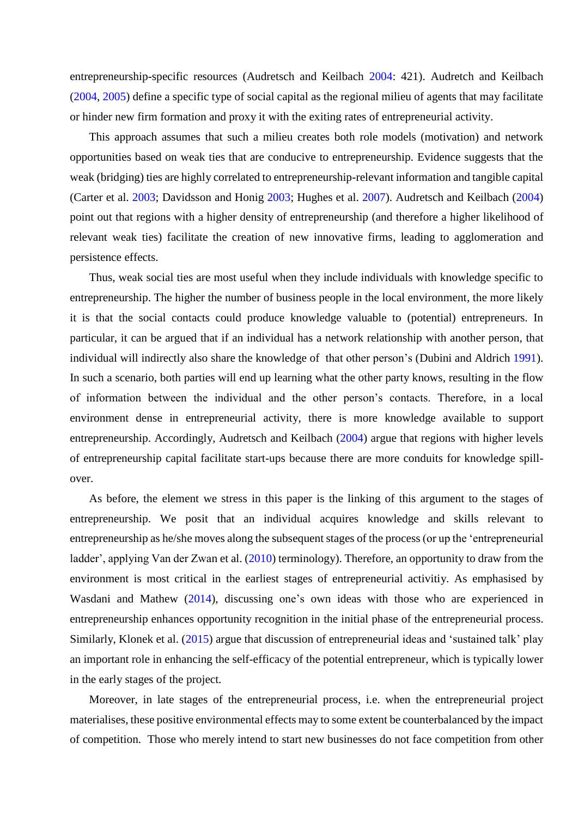entrepreneurship-specific resources (Audretsch and Keilbach [2004:](#page-22-7) 421). Audretch and Keilbach [\(2004,](#page-22-7) [2005\)](#page-22-8) define a specific type of social capital as the regional milieu of agents that may facilitate or hinder new firm formation and proxy it with the exiting rates of entrepreneurial activity.

This approach assumes that such a milieu creates both role models (motivation) and network opportunities based on weak ties that are conducive to entrepreneurship. Evidence suggests that the weak (bridging) ties are highly correlated to entrepreneurship-relevant information and tangible capital (Carter et al. [2003;](#page-23-6) Davidsson and Honig [2003;](#page-24-10) Hughes et al. [2007\)](#page-26-15). Audretsch and Keilbach [\(2004\)](#page-22-7) point out that regions with a higher density of entrepreneurship (and therefore a higher likelihood of relevant weak ties) facilitate the creation of new innovative firms, leading to agglomeration and persistence effects.

Thus, weak social ties are most useful when they include individuals with knowledge specific to entrepreneurship. The higher the number of business people in the local environment, the more likely it is that the social contacts could produce knowledge valuable to (potential) entrepreneurs. In particular, it can be argued that if an individual has a network relationship with another person, that individual will indirectly also share the knowledge of that other person's (Dubini and Aldrich [1991\)](#page-24-18). In such a scenario, both parties will end up learning what the other party knows, resulting in the flow of information between the individual and the other person's contacts. Therefore, in a local environment dense in entrepreneurial activity, there is more knowledge available to support entrepreneurship. Accordingly, Audretsch and Keilbach [\(2004\)](#page-22-7) argue that regions with higher levels of entrepreneurship capital facilitate start-ups because there are more conduits for knowledge spillover.

As before, the element we stress in this paper is the linking of this argument to the stages of entrepreneurship. We posit that an individual acquires knowledge and skills relevant to entrepreneurship as he/she moves along the subsequent stages of the process (or up the 'entrepreneurial ladder', applying Van der Zwan et al. [\(2010\)](#page-28-3) terminology). Therefore, an opportunity to draw from the environment is most critical in the earliest stages of entrepreneurial activitiy. As emphasised by Wasdani and Mathew [\(2014\)](#page-28-5), discussing one's own ideas with those who are experienced in entrepreneurship enhances opportunity recognition in the initial phase of the entrepreneurial process. Similarly, Klonek et al. [\(2015\)](#page-26-1) argue that discussion of entrepreneurial ideas and 'sustained talk' play an important role in enhancing the self-efficacy of the potential entrepreneur, which is typically lower in the early stages of the project.

Moreover, in late stages of the entrepreneurial process, i.e. when the entrepreneurial project materialises, these positive environmental effects may to some extent be counterbalanced by the impact of competition. Those who merely intend to start new businesses do not face competition from other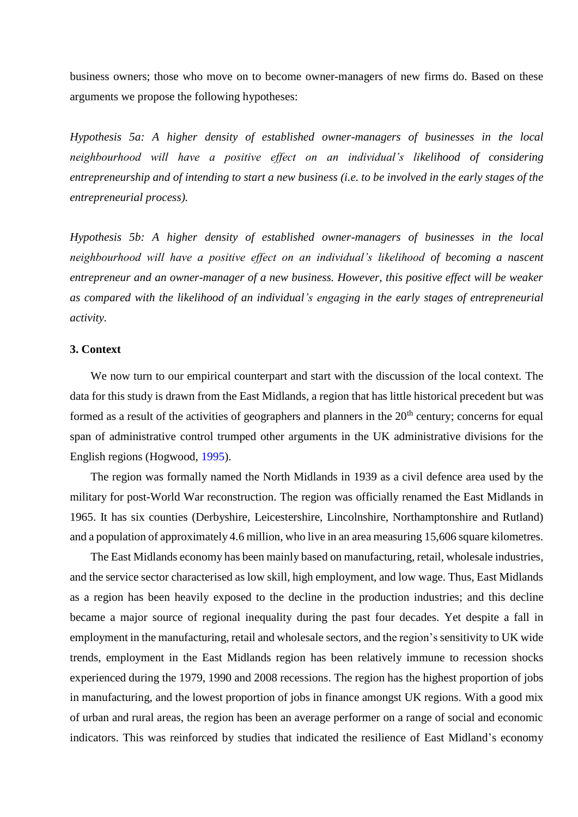business owners; those who move on to become owner-managers of new firms do. Based on these arguments we propose the following hypotheses:

*Hypothesis 5a: A higher density of established owner-managers of businesses in the local neighbourhood will have a positive effect on an individual's likelihood of considering entrepreneurship and of intending to start a new business (i.e. to be involved in the early stages of the entrepreneurial process).*

*Hypothesis 5b: A higher density of established owner-managers of businesses in the local neighbourhood will have a positive effect on an individual's likelihood of becoming a nascent entrepreneur and an owner-manager of a new business. However, this positive effect will be weaker as compared with the likelihood of an individual's engaging in the early stages of entrepreneurial activity.*

# **3. Context**

We now turn to our empirical counterpart and start with the discussion of the local context. The data for this study is drawn from the East Midlands, a region that has little historical precedent but was formed as a result of the activities of geographers and planners in the  $20<sup>th</sup>$  century; concerns for equal span of administrative control trumped other arguments in the UK administrative divisions for the English regions (Hogwood, [1995\)](#page-26-16).

The region was formally named the North Midlands in 1939 as a civil defence area used by the military for post-World War reconstruction. The region was officially renamed the East Midlands in 1965. It has six counties (Derbyshire, Leicestershire, Lincolnshire, Northamptonshire and Rutland) and a population of approximately 4.6 million, who live in an area measuring 15,606 square kilometres.

The East Midlands economy has been mainly based on manufacturing, retail, wholesale industries, and the service sector characterised as low skill, high employment, and low wage. Thus, East Midlands as a region has been heavily exposed to the decline in the production industries; and this decline became a major source of regional inequality during the past four decades. Yet despite a fall in employment in the manufacturing, retail and wholesale sectors, and the region's sensitivity to UK wide trends, employment in the East Midlands region has been relatively immune to recession shocks experienced during the 1979, 1990 and 2008 recessions. The region has the highest proportion of jobs in manufacturing, and the lowest proportion of jobs in finance amongst UK regions. With a good mix of urban and rural areas, the region has been an average performer on a range of social and economic indicators. This was reinforced by studies that indicated the resilience of East Midland's economy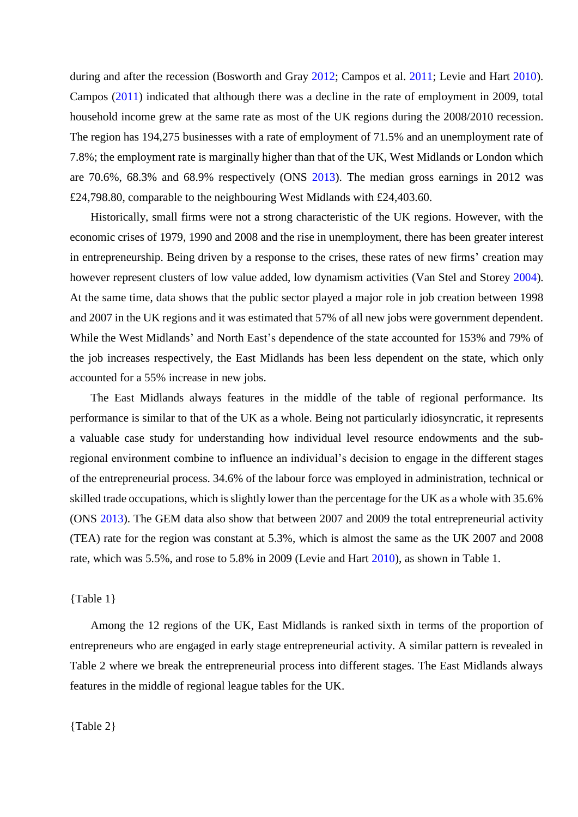during and after the recession (Bosworth and Gray [2012;](#page-23-2) Campos et al. [2011;](#page-23-3) Levie and Hart [2010\)](#page-27-11). Campos [\(2011\)](#page-23-3) indicated that although there was a decline in the rate of employment in 2009, total household income grew at the same rate as most of the UK regions during the 2008/2010 recession. The region has 194,275 businesses with a rate of employment of 71.5% and an unemployment rate of 7.8%; the employment rate is marginally higher than that of the UK, West Midlands or London which are 70.6%, 68.3% and 68.9% respectively (ONS [2013\)](#page-27-12). The median gross earnings in 2012 was £24,798.80, comparable to the neighbouring West Midlands with £24,403.60.

Historically, small firms were not a strong characteristic of the UK regions. However, with the economic crises of 1979, 1990 and 2008 and the rise in unemployment, there has been greater interest in entrepreneurship. Being driven by a response to the crises, these rates of new firms' creation may however represent clusters of low value added, low dynamism activities (Van Stel and Storey [2004\)](#page-28-1). At the same time, data shows that the public sector played a major role in job creation between 1998 and 2007 in the UK regions and it was estimated that 57% of all new jobs were government dependent. While the West Midlands' and North East's dependence of the state accounted for 153% and 79% of the job increases respectively, the East Midlands has been less dependent on the state, which only accounted for a 55% increase in new jobs.

The East Midlands always features in the middle of the table of regional performance. Its performance is similar to that of the UK as a whole. Being not particularly idiosyncratic, it represents a valuable case study for understanding how individual level resource endowments and the subregional environment combine to influence an individual's decision to engage in the different stages of the entrepreneurial process. 34.6% of the labour force was employed in administration, technical or skilled trade occupations, which is slightly lower than the percentage for the UK as a whole with 35.6% (ONS [2013\)](#page-27-12). The GEM data also show that between 2007 and 2009 the total entrepreneurial activity (TEA) rate for the region was constant at 5.3%, which is almost the same as the UK 2007 and 2008 rate, which was 5.5%, and rose to 5.8% in 2009 (Levie and Hart [2010\)](#page-27-11), as shown in Table 1.

### {Table 1}

Among the 12 regions of the UK, East Midlands is ranked sixth in terms of the proportion of entrepreneurs who are engaged in early stage entrepreneurial activity. A similar pattern is revealed in Table 2 where we break the entrepreneurial process into different stages. The East Midlands always features in the middle of regional league tables for the UK.

{Table 2}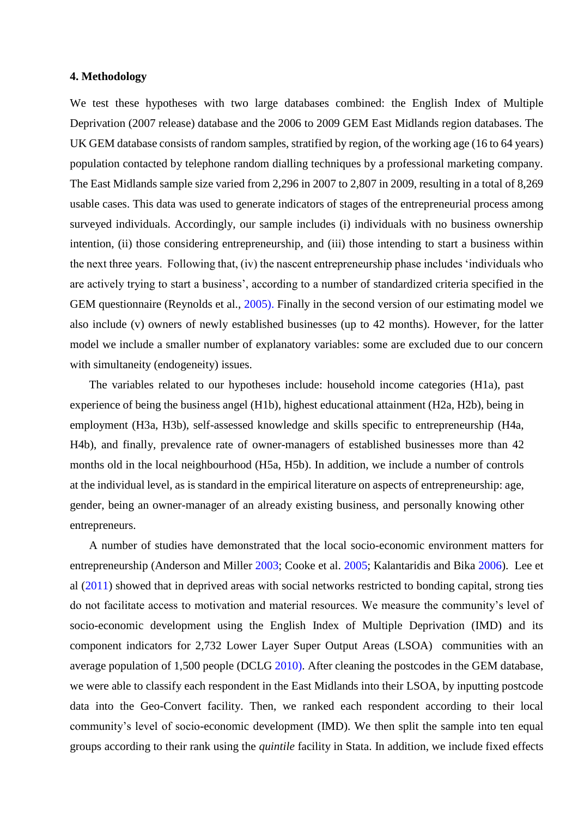### **4. Methodology**

We test these hypotheses with two large databases combined: the English Index of Multiple Deprivation (2007 release) database and the 2006 to 2009 GEM East Midlands region databases. The UK GEM database consists of random samples, stratified by region, of the working age (16 to 64 years) population contacted by telephone random dialling techniques by a professional marketing company. The East Midlands sample size varied from 2,296 in 2007 to 2,807 in 2009, resulting in a total of 8,269 usable cases. This data was used to generate indicators of stages of the entrepreneurial process among surveyed individuals. Accordingly, our sample includes (i) individuals with no business ownership intention, (ii) those considering entrepreneurship, and (iii) those intending to start a business within the next three years. Following that, (iv) the nascent entrepreneurship phase includes 'individuals who are actively trying to start a business', according to a number of standardized criteria specified in the GEM questionnaire (Reynolds et al., [2005\).](#page-27-2) Finally in the second version of our estimating model we also include (v) owners of newly established businesses (up to 42 months). However, for the latter model we include a smaller number of explanatory variables: some are excluded due to our concern with simultaneity (endogeneity) issues.

The variables related to our hypotheses include: household income categories (H1a), past experience of being the business angel (H1b), highest educational attainment (H2a, H2b), being in employment (H3a, H3b), self-assessed knowledge and skills specific to entrepreneurship (H4a, H4b), and finally, prevalence rate of owner-managers of established businesses more than 42 months old in the local neighbourhood (H5a, H5b). In addition, we include a number of controls at the individual level, as is standard in the empirical literature on aspects of entrepreneurship: age, gender, being an owner-manager of an already existing business, and personally knowing other entrepreneurs.

A number of studies have demonstrated that the local socio-economic environment matters for entrepreneurship (Anderson and Miller [2003;](#page-22-21) Cooke et al. [2005;](#page-24-19) Kalantaridis and Bika [2006\)](#page-26-17). Lee et al [\(2011\)](#page-26-2) showed that in deprived areas with social networks restricted to bonding capital, strong ties do not facilitate access to motivation and material resources. We measure the community's level of socio-economic development using the English Index of Multiple Deprivation (IMD) and its component indicators for 2,732 Lower Layer Super Output Areas (LSOA) communities with an average population of 1,500 people (DCLG [2010\).](#page-24-20) After cleaning the postcodes in the GEM database, we were able to classify each respondent in the East Midlands into their LSOA, by inputting postcode data into the Geo-Convert facility. Then, we ranked each respondent according to their local community's level of socio-economic development (IMD). We then split the sample into ten equal groups according to their rank using the *quintile* facility in Stata. In addition, we include fixed effects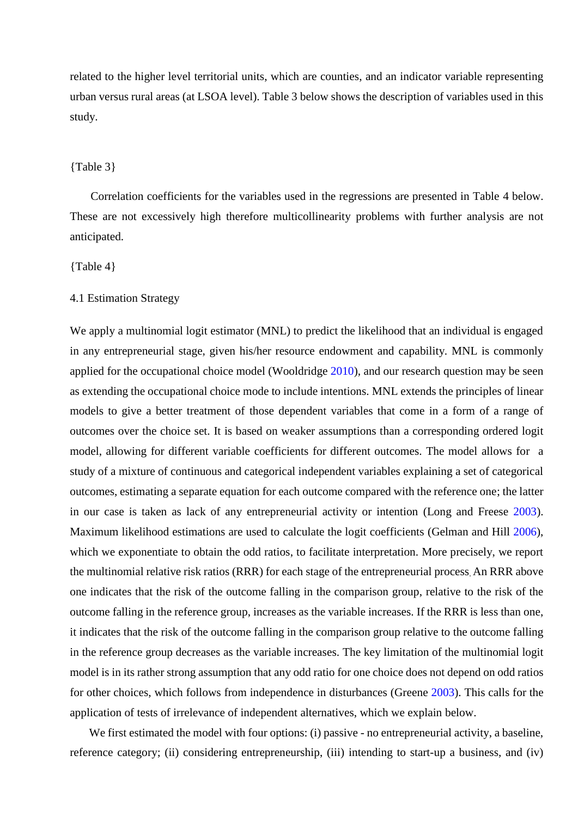related to the higher level territorial units, which are counties, and an indicator variable representing urban versus rural areas (at LSOA level). Table 3 below shows the description of variables used in this study.

## {Table 3}

Correlation coefficients for the variables used in the regressions are presented in Table 4 below. These are not excessively high therefore multicollinearity problems with further analysis are not anticipated.

#### {Table 4}

# 4.1 Estimation Strategy

We apply a multinomial logit estimator (MNL) to predict the likelihood that an individual is engaged in any entrepreneurial stage, given his/her resource endowment and capability. MNL is commonly applied for the occupational choice model (Wooldridge [2010\)](#page-28-17), and our research question may be seen as extending the occupational choice mode to include intentions. MNL extends the principles of linear models to give a better treatment of those dependent variables that come in a form of a range of outcomes over the choice set. It is based on weaker assumptions than a corresponding ordered logit model, allowing for different variable coefficients for different outcomes. The model allows for a study of a mixture of continuous and categorical independent variables explaining a set of categorical outcomes, estimating a separate equation for each outcome compared with the reference one; the latter in our case is taken as lack of any entrepreneurial activity or intention (Long and Freese [2003\)](#page-27-13). Maximum likelihood estimations are used to calculate the logit coefficients (Gelman and Hill [2006\)](#page-26-18), which we exponentiate to obtain the odd ratios, to facilitate interpretation. More precisely, we report the multinomial relative risk ratios (RRR) for each stage of the entrepreneurial process. An RRR above one indicates that the risk of the outcome falling in the comparison group, relative to the risk of the outcome falling in the reference group, increases as the variable increases. If the RRR is less than one, it indicates that the risk of the outcome falling in the comparison group relative to the outcome falling in the reference group decreases as the variable increases. The key limitation of the multinomial logit model is in its rather strong assumption that any odd ratio for one choice does not depend on odd ratios for other choices, which follows from independence in disturbances (Greene [2003\)](#page-26-19). This calls for the application of tests of irrelevance of independent alternatives, which we explain below.

We first estimated the model with four options: (i) passive - no entrepreneurial activity, a baseline, reference category; (ii) considering entrepreneurship, (iii) intending to start-up a business, and (iv)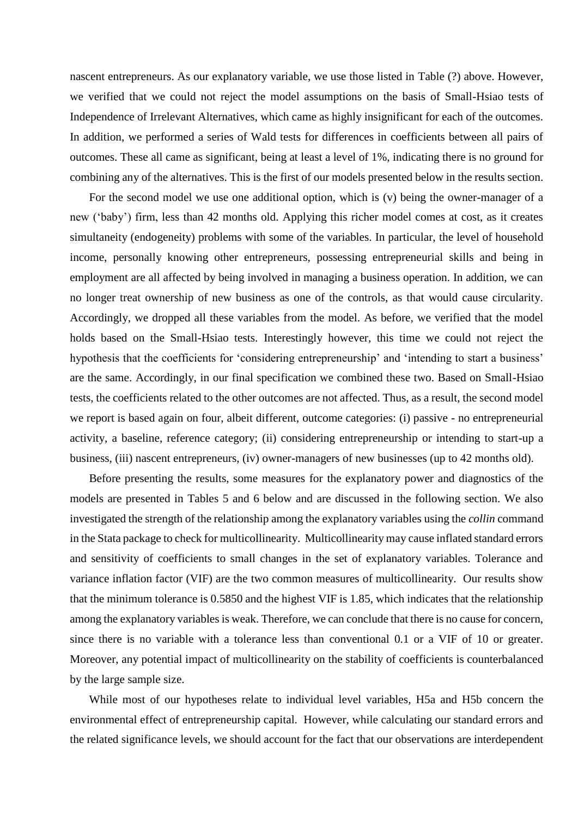nascent entrepreneurs. As our explanatory variable, we use those listed in Table (?) above. However, we verified that we could not reject the model assumptions on the basis of Small-Hsiao tests of Independence of Irrelevant Alternatives, which came as highly insignificant for each of the outcomes. In addition, we performed a series of Wald tests for differences in coefficients between all pairs of outcomes. These all came as significant, being at least a level of 1%, indicating there is no ground for combining any of the alternatives. This is the first of our models presented below in the results section.

For the second model we use one additional option, which is (v) being the owner-manager of a new ('baby') firm, less than 42 months old. Applying this richer model comes at cost, as it creates simultaneity (endogeneity) problems with some of the variables. In particular, the level of household income, personally knowing other entrepreneurs, possessing entrepreneurial skills and being in employment are all affected by being involved in managing a business operation. In addition, we can no longer treat ownership of new business as one of the controls, as that would cause circularity. Accordingly, we dropped all these variables from the model. As before, we verified that the model holds based on the Small-Hsiao tests. Interestingly however, this time we could not reject the hypothesis that the coefficients for 'considering entrepreneurship' and 'intending to start a business' are the same. Accordingly, in our final specification we combined these two. Based on Small-Hsiao tests, the coefficients related to the other outcomes are not affected. Thus, as a result, the second model we report is based again on four, albeit different, outcome categories: (i) passive - no entrepreneurial activity, a baseline, reference category; (ii) considering entrepreneurship or intending to start-up a business, (iii) nascent entrepreneurs, (iv) owner-managers of new businesses (up to 42 months old).

Before presenting the results, some measures for the explanatory power and diagnostics of the models are presented in Tables 5 and 6 below and are discussed in the following section. We also investigated the strength of the relationship among the explanatory variables using the *collin* command in the Stata package to check for multicollinearity. Multicollinearity may cause inflated standard errors and sensitivity of coefficients to small changes in the set of explanatory variables. Tolerance and variance inflation factor (VIF) are the two common measures of multicollinearity. Our results show that the minimum tolerance is 0.5850 and the highest VIF is 1.85, which indicates that the relationship among the explanatory variables is weak. Therefore, we can conclude that there is no cause for concern, since there is no variable with a tolerance less than conventional 0.1 or a VIF of 10 or greater. Moreover, any potential impact of multicollinearity on the stability of coefficients is counterbalanced by the large sample size.

While most of our hypotheses relate to individual level variables, H5a and H5b concern the environmental effect of entrepreneurship capital. However, while calculating our standard errors and the related significance levels, we should account for the fact that our observations are interdependent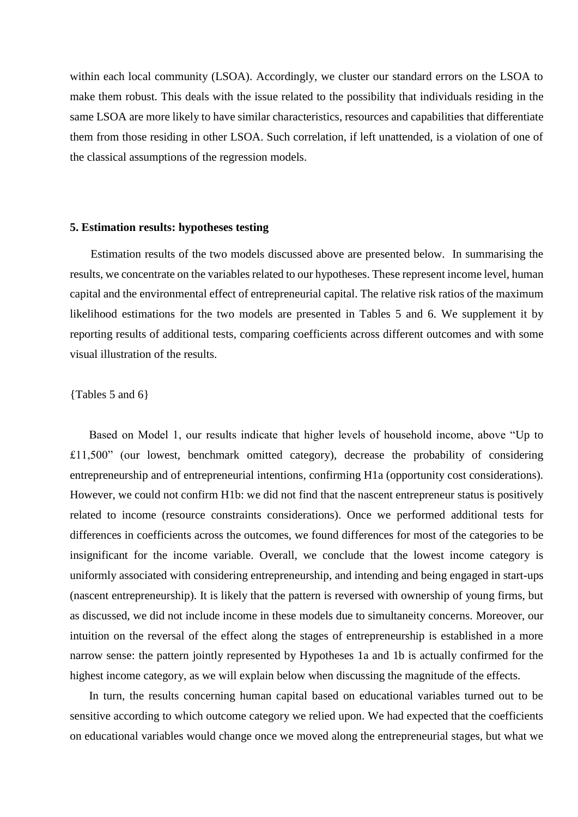within each local community (LSOA). Accordingly, we cluster our standard errors on the LSOA to make them robust. This deals with the issue related to the possibility that individuals residing in the same LSOA are more likely to have similar characteristics, resources and capabilities that differentiate them from those residing in other LSOA. Such correlation, if left unattended, is a violation of one of the classical assumptions of the regression models.

#### **5. Estimation results: hypotheses testing**

Estimation results of the two models discussed above are presented below. In summarising the results, we concentrate on the variables related to our hypotheses. These represent income level, human capital and the environmental effect of entrepreneurial capital. The relative risk ratios of the maximum likelihood estimations for the two models are presented in Tables 5 and 6. We supplement it by reporting results of additional tests, comparing coefficients across different outcomes and with some visual illustration of the results.

#### {Tables 5 and 6}

Based on Model 1, our results indicate that higher levels of household income, above "Up to £11,500" (our lowest, benchmark omitted category), decrease the probability of considering entrepreneurship and of entrepreneurial intentions, confirming H1a (opportunity cost considerations). However, we could not confirm H1b: we did not find that the nascent entrepreneur status is positively related to income (resource constraints considerations). Once we performed additional tests for differences in coefficients across the outcomes, we found differences for most of the categories to be insignificant for the income variable. Overall, we conclude that the lowest income category is uniformly associated with considering entrepreneurship, and intending and being engaged in start-ups (nascent entrepreneurship). It is likely that the pattern is reversed with ownership of young firms, but as discussed, we did not include income in these models due to simultaneity concerns. Moreover, our intuition on the reversal of the effect along the stages of entrepreneurship is established in a more narrow sense: the pattern jointly represented by Hypotheses 1a and 1b is actually confirmed for the highest income category, as we will explain below when discussing the magnitude of the effects.

In turn, the results concerning human capital based on educational variables turned out to be sensitive according to which outcome category we relied upon. We had expected that the coefficients on educational variables would change once we moved along the entrepreneurial stages, but what we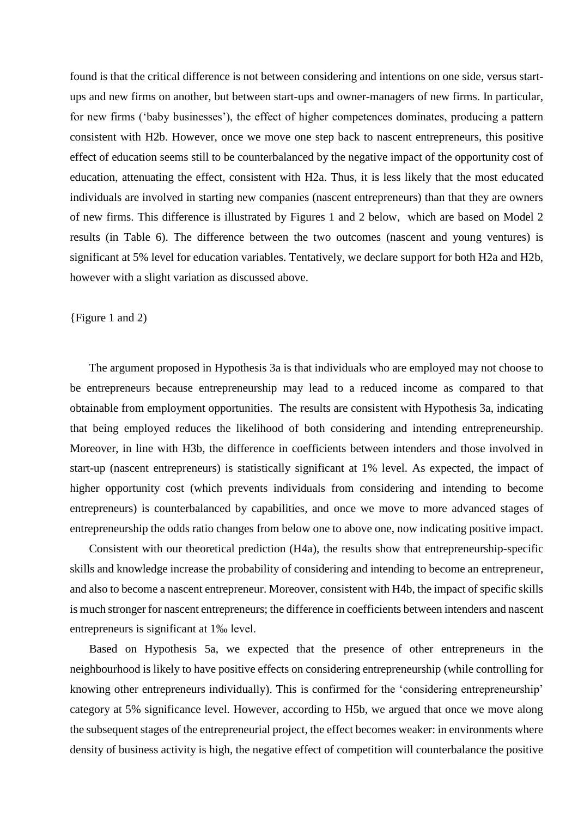found is that the critical difference is not between considering and intentions on one side, versus startups and new firms on another, but between start-ups and owner-managers of new firms. In particular, for new firms ('baby businesses'), the effect of higher competences dominates, producing a pattern consistent with H2b. However, once we move one step back to nascent entrepreneurs, this positive effect of education seems still to be counterbalanced by the negative impact of the opportunity cost of education, attenuating the effect, consistent with H2a. Thus, it is less likely that the most educated individuals are involved in starting new companies (nascent entrepreneurs) than that they are owners of new firms. This difference is illustrated by Figures 1 and 2 below, which are based on Model 2 results (in Table 6). The difference between the two outcomes (nascent and young ventures) is significant at 5% level for education variables. Tentatively, we declare support for both H2a and H2b, however with a slight variation as discussed above.

## {Figure 1 and 2)

The argument proposed in Hypothesis 3a is that individuals who are employed may not choose to be entrepreneurs because entrepreneurship may lead to a reduced income as compared to that obtainable from employment opportunities. The results are consistent with Hypothesis 3a, indicating that being employed reduces the likelihood of both considering and intending entrepreneurship. Moreover, in line with H3b, the difference in coefficients between intenders and those involved in start-up (nascent entrepreneurs) is statistically significant at 1% level. As expected, the impact of higher opportunity cost (which prevents individuals from considering and intending to become entrepreneurs) is counterbalanced by capabilities, and once we move to more advanced stages of entrepreneurship the odds ratio changes from below one to above one, now indicating positive impact.

Consistent with our theoretical prediction (H4a), the results show that entrepreneurship-specific skills and knowledge increase the probability of considering and intending to become an entrepreneur, and also to become a nascent entrepreneur. Moreover, consistent with H4b, the impact of specific skills is much stronger for nascent entrepreneurs; the difference in coefficients between intenders and nascent entrepreneurs is significant at 1‰ level.

Based on Hypothesis 5a, we expected that the presence of other entrepreneurs in the neighbourhood is likely to have positive effects on considering entrepreneurship (while controlling for knowing other entrepreneurs individually). This is confirmed for the 'considering entrepreneurship' category at 5% significance level. However, according to H5b, we argued that once we move along the subsequent stages of the entrepreneurial project, the effect becomes weaker: in environments where density of business activity is high, the negative effect of competition will counterbalance the positive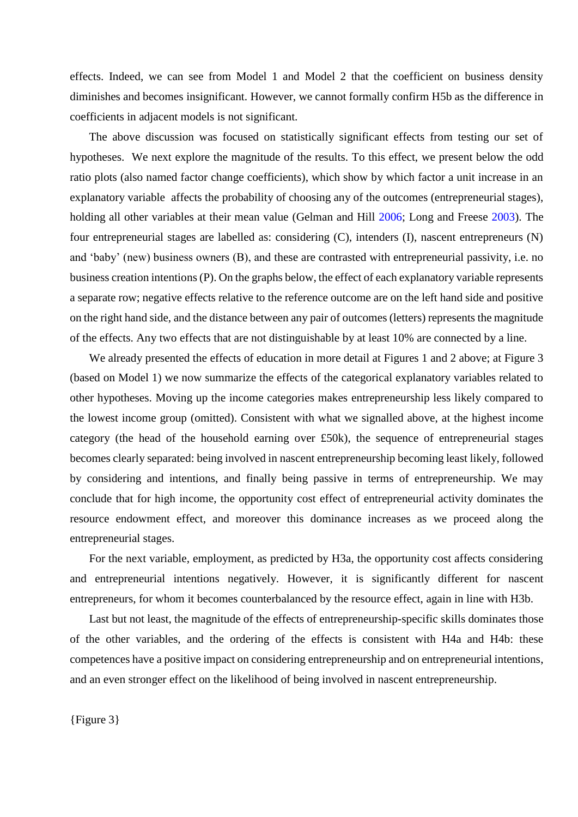effects. Indeed, we can see from Model 1 and Model 2 that the coefficient on business density diminishes and becomes insignificant. However, we cannot formally confirm H5b as the difference in coefficients in adjacent models is not significant.

The above discussion was focused on statistically significant effects from testing our set of hypotheses. We next explore the magnitude of the results. To this effect, we present below the odd ratio plots (also named factor change coefficients), which show by which factor a unit increase in an explanatory variable affects the probability of choosing any of the outcomes (entrepreneurial stages), holding all other variables at their mean value (Gelman and Hill [2006;](#page-26-18) Long and Freese [2003\)](#page-27-13). The four entrepreneurial stages are labelled as: considering (C), intenders (I), nascent entrepreneurs (N) and 'baby' (new) business owners (B), and these are contrasted with entrepreneurial passivity, i.e. no business creation intentions (P). On the graphs below, the effect of each explanatory variable represents a separate row; negative effects relative to the reference outcome are on the left hand side and positive on the right hand side, and the distance between any pair of outcomes (letters) represents the magnitude of the effects. Any two effects that are not distinguishable by at least 10% are connected by a line.

We already presented the effects of education in more detail at Figures 1 and 2 above; at Figure 3 (based on Model 1) we now summarize the effects of the categorical explanatory variables related to other hypotheses. Moving up the income categories makes entrepreneurship less likely compared to the lowest income group (omitted). Consistent with what we signalled above, at the highest income category (the head of the household earning over £50k), the sequence of entrepreneurial stages becomes clearly separated: being involved in nascent entrepreneurship becoming least likely, followed by considering and intentions, and finally being passive in terms of entrepreneurship. We may conclude that for high income, the opportunity cost effect of entrepreneurial activity dominates the resource endowment effect, and moreover this dominance increases as we proceed along the entrepreneurial stages.

For the next variable, employment, as predicted by H3a, the opportunity cost affects considering and entrepreneurial intentions negatively. However, it is significantly different for nascent entrepreneurs, for whom it becomes counterbalanced by the resource effect, again in line with H3b.

Last but not least, the magnitude of the effects of entrepreneurship-specific skills dominates those of the other variables, and the ordering of the effects is consistent with H4a and H4b: these competences have a positive impact on considering entrepreneurship and on entrepreneurial intentions, and an even stronger effect on the likelihood of being involved in nascent entrepreneurship.

{Figure 3}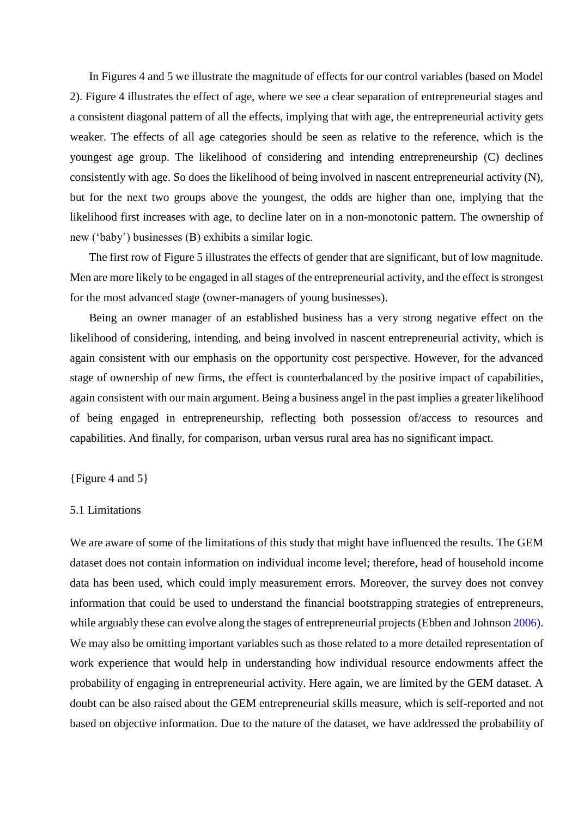In Figures 4 and 5 we illustrate the magnitude of effects for our control variables (based on Model 2). Figure 4 illustrates the effect of age, where we see a clear separation of entrepreneurial stages and a consistent diagonal pattern of all the effects, implying that with age, the entrepreneurial activity gets weaker. The effects of all age categories should be seen as relative to the reference, which is the youngest age group. The likelihood of considering and intending entrepreneurship (C) declines consistently with age. So does the likelihood of being involved in nascent entrepreneurial activity (N), but for the next two groups above the youngest, the odds are higher than one, implying that the likelihood first increases with age, to decline later on in a non-monotonic pattern. The ownership of new ('baby') businesses (B) exhibits a similar logic.

The first row of Figure 5 illustrates the effects of gender that are significant, but of low magnitude. Men are more likely to be engaged in all stages of the entrepreneurial activity, and the effect is strongest for the most advanced stage (owner-managers of young businesses).

Being an owner manager of an established business has a very strong negative effect on the likelihood of considering, intending, and being involved in nascent entrepreneurial activity, which is again consistent with our emphasis on the opportunity cost perspective. However, for the advanced stage of ownership of new firms, the effect is counterbalanced by the positive impact of capabilities, again consistent with our main argument. Being a business angel in the past implies a greater likelihood of being engaged in entrepreneurship, reflecting both possession of/access to resources and capabilities. And finally, for comparison, urban versus rural area has no significant impact.

{Figure 4 and 5}

## 5.1 Limitations

We are aware of some of the limitations of this study that might have influenced the results. The GEM dataset does not contain information on individual income level; therefore, head of household income data has been used, which could imply measurement errors. Moreover, the survey does not convey information that could be used to understand the financial bootstrapping strategies of entrepreneurs, while arguably these can evolve along the stages of entrepreneurial projects (Ebben and Johnson [2006\)](#page-24-5). We may also be omitting important variables such as those related to a more detailed representation of work experience that would help in understanding how individual resource endowments affect the probability of engaging in entrepreneurial activity. Here again, we are limited by the GEM dataset. A doubt can be also raised about the GEM entrepreneurial skills measure, which is self-reported and not based on objective information. Due to the nature of the dataset, we have addressed the probability of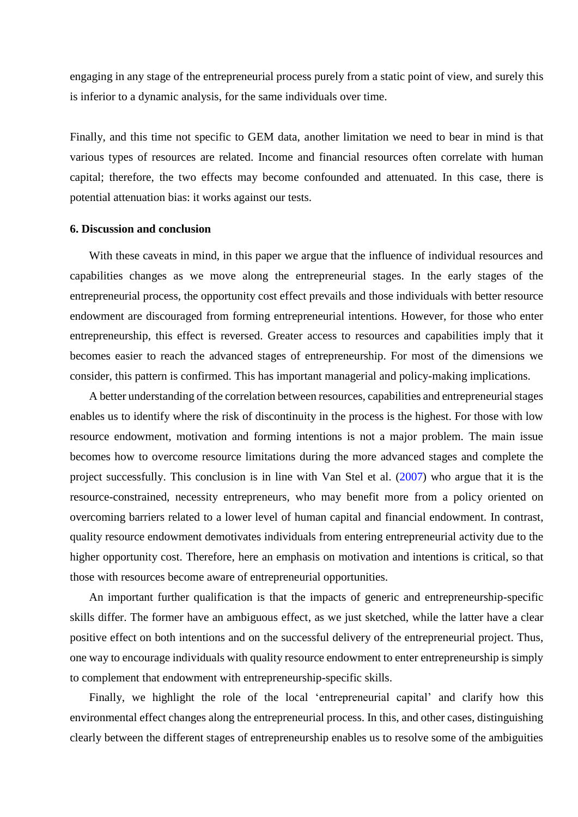engaging in any stage of the entrepreneurial process purely from a static point of view, and surely this is inferior to a dynamic analysis, for the same individuals over time.

Finally, and this time not specific to GEM data, another limitation we need to bear in mind is that various types of resources are related. Income and financial resources often correlate with human capital; therefore, the two effects may become confounded and attenuated. In this case, there is potential attenuation bias: it works against our tests.

# **6. Discussion and conclusion**

With these caveats in mind, in this paper we argue that the influence of individual resources and capabilities changes as we move along the entrepreneurial stages. In the early stages of the entrepreneurial process, the opportunity cost effect prevails and those individuals with better resource endowment are discouraged from forming entrepreneurial intentions. However, for those who enter entrepreneurship, this effect is reversed. Greater access to resources and capabilities imply that it becomes easier to reach the advanced stages of entrepreneurship. For most of the dimensions we consider, this pattern is confirmed. This has important managerial and policy-making implications.

A better understanding of the correlation between resources, capabilities and entrepreneurial stages enables us to identify where the risk of discontinuity in the process is the highest. For those with low resource endowment, motivation and forming intentions is not a major problem. The main issue becomes how to overcome resource limitations during the more advanced stages and complete the project successfully. This conclusion is in line with Van Stel et al. [\(2007\)](#page-28-18) who argue that it is the resource-constrained, necessity entrepreneurs, who may benefit more from a policy oriented on overcoming barriers related to a lower level of human capital and financial endowment. In contrast, quality resource endowment demotivates individuals from entering entrepreneurial activity due to the higher opportunity cost. Therefore, here an emphasis on motivation and intentions is critical, so that those with resources become aware of entrepreneurial opportunities.

An important further qualification is that the impacts of generic and entrepreneurship-specific skills differ. The former have an ambiguous effect, as we just sketched, while the latter have a clear positive effect on both intentions and on the successful delivery of the entrepreneurial project. Thus, one way to encourage individuals with quality resource endowment to enter entrepreneurship is simply to complement that endowment with entrepreneurship-specific skills.

Finally, we highlight the role of the local 'entrepreneurial capital' and clarify how this environmental effect changes along the entrepreneurial process. In this, and other cases, distinguishing clearly between the different stages of entrepreneurship enables us to resolve some of the ambiguities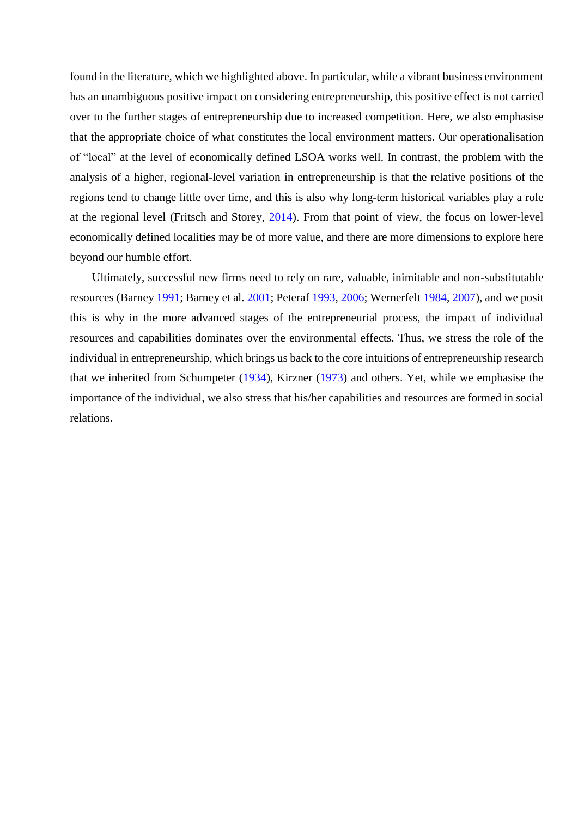found in the literature, which we highlighted above. In particular, while a vibrant business environment has an unambiguous positive impact on considering entrepreneurship, this positive effect is not carried over to the further stages of entrepreneurship due to increased competition. Here, we also emphasise that the appropriate choice of what constitutes the local environment matters. Our operationalisation of "local" at the level of economically defined LSOA works well. In contrast, the problem with the analysis of a higher, regional-level variation in entrepreneurship is that the relative positions of the regions tend to change little over time, and this is also why long-term historical variables play a role at the regional level (Fritsch and Storey, [2014\)](#page-26-20). From that point of view, the focus on lower-level economically defined localities may be of more value, and there are more dimensions to explore here beyond our humble effort.

Ultimately, successful new firms need to rely on rare, valuable, inimitable and non-substitutable resources (Barney [1991;](#page-22-13) Barney et al. [2001;](#page-22-14) Peteraf [1993,](#page-27-3) [2006;](#page-27-4) Wernerfelt [1984,](#page-28-7) [2007\)](#page-28-8), and we posit this is why in the more advanced stages of the entrepreneurial process, the impact of individual resources and capabilities dominates over the environmental effects. Thus, we stress the role of the individual in entrepreneurship, which brings us back to the core intuitions of entrepreneurship research that we inherited from Schumpeter [\(1934\)](#page-27-14), Kirzner [\(1973\)](#page-26-21) and others. Yet, while we emphasise the importance of the individual, we also stress that his/her capabilities and resources are formed in social relations.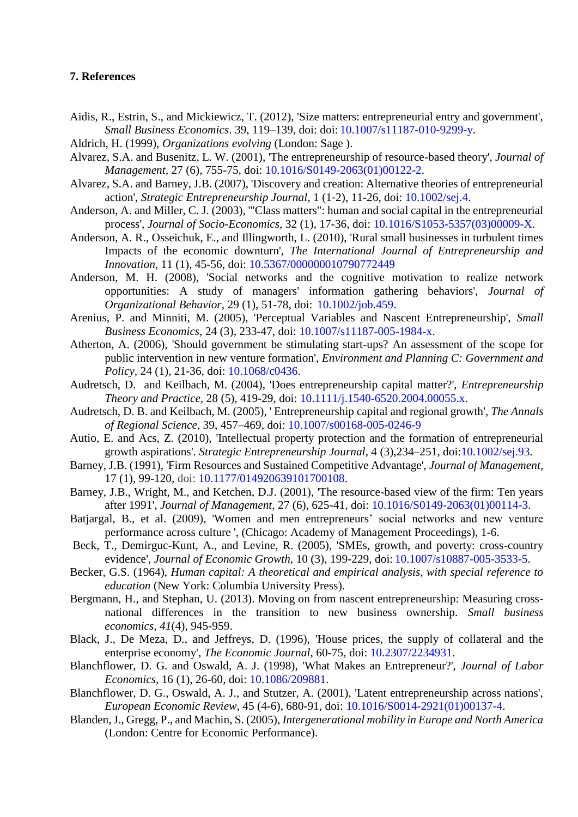# **7. References**

- <span id="page-22-5"></span>Aidis, R., Estrin, S., and Mickiewicz, T. (2012), 'Size matters: entrepreneurial entry and government', *Small Business Economics*. 39, 119–139, doi: doi: [10.1007/s11187-010-9299-y.](http://dx.doi.org/10.1007%2Fs11187-010-9299-y)
- <span id="page-22-0"></span>Aldrich, H. (1999), *Organizations evolving* (London: Sage ).
- <span id="page-22-9"></span>Alvarez, S.A. and Busenitz, L. W. (2001), 'The entrepreneurship of resource-based theory', *Journal of Management,* 27 (6), 755-75, doi: [10.1016/S0149-2063\(01\)00122-2.](http://dx.doi.org/10.1016/S0149-2063(01)00122-2)
- <span id="page-22-19"></span>Alvarez, S.A. and Barney, J.B. (2007), 'Discovery and creation: Alternative theories of entrepreneurial action', *Strategic Entrepreneurship Journal,* 1 (1‐2), 11-26, doi: [10.1002/sej.4.](http://dx.doi.org/10.1002/sej.4)
- <span id="page-22-21"></span>Anderson, A. and Miller, C. J. (2003), '"Class matters": human and social capital in the entrepreneurial process', *Journal of Socio-Economics,* 32 (1), 17-36, doi: [10.1016/S1053-5357\(03\)00009-X.](http://dx.doi.org/10.1016/S1053-5357(03)00009-X)
- <span id="page-22-11"></span>Anderson, A. R., Osseichuk, E., and Illingworth, L. (2010), 'Rural small businesses in turbulent times Impacts of the economic downturn', *The International Journal of Entrepreneurship and Innovation,* 11 (1), 45-56, doi: [10.5367/000000010790772449](http://dx.doi.org/10.5367/000000010790772449)
- <span id="page-22-10"></span>Anderson, M. H. (2008), 'Social networks and the cognitive motivation to realize network opportunities: A study of managers' information gathering behaviors', *Journal of Organizational Behavior,* 29 (1), 51-78, doi: [10.1002/job.459.](http://dx.doi.org/10.1002/job.459)
- <span id="page-22-18"></span><span id="page-22-3"></span>Arenius, P. and Minniti, M. (2005), 'Perceptual Variables and Nascent Entrepreneurship', *Small Business Economics,* 24 (3), 233-47, doi: [10.1007/s11187-005-1984-x.](http://dx.doi.org/10.1007/s11187-005-1984-x)
- Atherton, A. (2006), 'Should government be stimulating start-ups? An assessment of the scope for public intervention in new venture formation', *Environment and Planning C: Government and Policy,* 24 (1), 21-36, doi: [10.1068/c0436.](http://dx.doi.org/10.1068/c0436)
- <span id="page-22-7"></span>Audretsch, D. and Keilbach, M. (2004), 'Does entrepreneurship capital matter?', *Entrepreneurship Theory and Practice,* 28 (5), 419-29, doi: [10.1111/j.1540-6520.2004.00055.x.](http://dx.doi.org/10.1111/j.1540-6520.2004.00055.x)
- <span id="page-22-8"></span>Audretsch, D. B. and Keilbach, M. (2005), ' Entrepreneurship capital and regional growth', *The Annals of Regional Science*, 39, 457–469, doi: [10.1007/s00168-005-0246-9](http://dx.doi.org/10.1007%2Fs00168-005-0246-9)
- <span id="page-22-4"></span>Autio, E. and Acs, Z. (2010), 'Intellectual property protection and the formation of entrepreneurial growth aspirations'. *Strategic Entrepreneurship Journal*, 4 (3),234–251, doi[:10.1002/sej.93.](http://dx.doi.org/10.1002/sej.93)
- <span id="page-22-13"></span>Barney, J.B. (1991), 'Firm Resources and Sustained Competitive Advantage', *Journal of Management,* 17 (1), 99-120, doi: [10.1177/014920639101700108.](http://dx.doi.org/10.1177/014920639101700108)
- <span id="page-22-14"></span>Barney, J.B., Wright, M., and Ketchen, D.J. (2001), 'The resource-based view of the firm: Ten years after 1991', *Journal of Management,* 27 (6), 625-41, doi: [10.1016/S0149-2063\(01\)00114-3.](http://dx.doi.org/10.1016/S0149-2063(01)00114-3)
- <span id="page-22-20"></span>Batjargal, B., et al. (2009), 'Women and men entrepreneurs' social networks and new venture performance across culture ', (Chicago: Academy of Management Proceedings), 1-6.
- <span id="page-22-1"></span>Beck, T., Demirguc-Kunt, A., and Levine, R. (2005), 'SMEs, growth, and poverty: cross-country evidence', *Journal of Economic Growth,* 10 (3), 199-229, doi: [10.1007/s10887-005-3533-5.](http://dx.doi.org/10.1007%2Fs10887-005-3533-5)
- <span id="page-22-17"></span>Becker, G.S. (1964), *Human capital: A theoretical and empirical analysis, with special reference to education* (New York: Columbia University Press).
- <span id="page-22-6"></span>Bergmann, H., and Stephan, U. (2013). Moving on from nascent entrepreneurship: Measuring crossnational differences in the transition to new business ownership. *Small business economics*, *41*(4), 945-959.
- <span id="page-22-15"></span>Black, J., De Meza, D., and Jeffreys, D. (1996), 'House prices, the supply of collateral and the enterprise economy', *The Economic Journal*, 60-75, doi: [10.2307/2234931.](http://dx.doi.org/10.2307/2234931)
- <span id="page-22-16"></span>Blanchflower, D. G. and Oswald, A. J. (1998), 'What Makes an Entrepreneur?', *Journal of Labor Economics,* 16 (1), 26-60, doi: [10.1086/209881.](http://dx.doi.org/10.1086/209881)
- <span id="page-22-12"></span>Blanchflower, D. G., Oswald, A. J., and Stutzer, A. (2001), 'Latent entrepreneurship across nations', *European Economic Review,* 45 (4-6), 680-91, doi: [10.1016/S0014-2921\(01\)00137-4.](http://dx.doi.org/10.1016/S0014-2921(01)00137-4)
- <span id="page-22-2"></span>Blanden, J., Gregg, P., and Machin, S. (2005), *Intergenerational mobility in Europe and North America* (London: Centre for Economic Performance).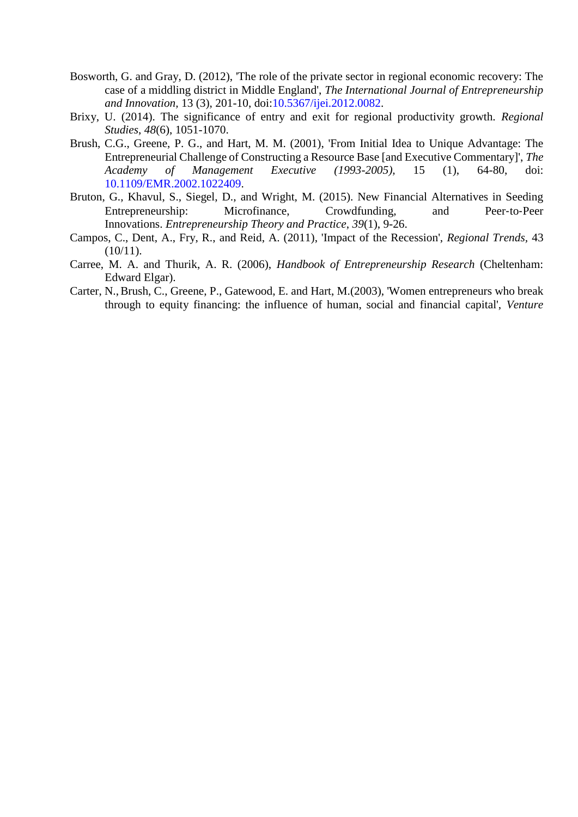- <span id="page-23-2"></span>Bosworth, G. and Gray, D. (2012), 'The role of the private sector in regional economic recovery: The case of a middling district in Middle England', *The International Journal of Entrepreneurship and Innovation,* 13 (3), 201-10, doi[:10.5367/ijei.2012.0082.](http://dx.doi.org/10.5367/ijei.2012.0082)
- <span id="page-23-1"></span>Brixy, U. (2014). The significance of entry and exit for regional productivity growth. *Regional Studies*, *48*(6), 1051-1070.
- <span id="page-23-4"></span>Brush, C.G., Greene, P. G., and Hart, M. M. (2001), 'From Initial Idea to Unique Advantage: The Entrepreneurial Challenge of Constructing a Resource Base [and Executive Commentary]', *The Academy of Management Executive (1993-2005),* 15 (1), 64-80, doi: [10.1109/EMR.2002.1022409.](http://dx.doi.org/10.1109/EMR.2002.1022409)
- <span id="page-23-5"></span>Bruton, G., Khavul, S., Siegel, D., and Wright, M. (2015). New Financial Alternatives in Seeding Entrepreneurship: Microfinance, Crowdfunding, and Peer-to-Peer Innovations. *Entrepreneurship Theory and Practice*, *39*(1), 9-26.
- <span id="page-23-3"></span>Campos, C., Dent, A., Fry, R., and Reid, A. (2011), 'Impact of the Recession', *Regional Trends,* 43  $(10/11)$ .
- <span id="page-23-0"></span>Carree, M. A. and Thurik, A. R. (2006), *Handbook of Entrepreneurship Research* (Cheltenham: Edward Elgar).
- <span id="page-23-6"></span>Carter, N.,Brush, C., Greene, P., Gatewood, E. and Hart, M.(2003), 'Women entrepreneurs who break through to equity financing: the influence of human, social and financial capital', *Venture*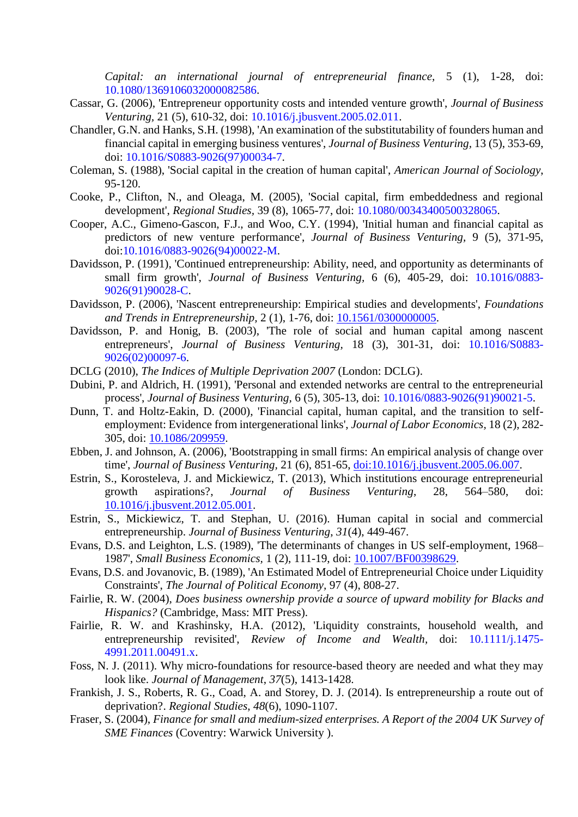*Capital: an international journal of entrepreneurial finance,* 5 (1), 1-28, doi: [10.1080/1369106032000082586.](http://dx.doi.org/10.1080/1369106032000082586)

- <span id="page-24-15"></span>Cassar, G. (2006), 'Entrepreneur opportunity costs and intended venture growth', *Journal of Business Venturing,* 21 (5), 610-32, doi: [10.1016/j.jbusvent.2005.02.011.](http://dx.doi.org/10.1016/j.jbusvent.2005.02.011)
- <span id="page-24-14"></span>Chandler, G.N. and Hanks, S.H. (1998), 'An examination of the substitutability of founders human and financial capital in emerging business ventures', *Journal of Business Venturing,* 13 (5), 353-69, doi: [10.1016/S0883-9026\(97\)00034-7.](http://dx.doi.org/10.1016/S0883-9026(97)00034-7)
- <span id="page-24-17"></span>Coleman, S. (1988), 'Social capital in the creation of human capital', *American Journal of Sociology*, 95-120.
- <span id="page-24-19"></span>Cooke, P., Clifton, N., and Oleaga, M. (2005), 'Social capital, firm embeddedness and regional development', *Regional Studies,* 39 (8), 1065-77, doi: [10.1080/00343400500328065.](http://dx.doi.org/10.1080/00343400500328065)
- <span id="page-24-13"></span>Cooper, A.C., Gimeno-Gascon, F.J., and Woo, C.Y. (1994), 'Initial human and financial capital as predictors of new venture performance', *Journal of Business Venturing,* 9 (5), 371-95, doi[:10.1016/0883-9026\(94\)00022-M.](http://dx.doi.org/10.1016/0883-9026(94)00022-M)
- <span id="page-24-16"></span>Davidsson, P. (1991), 'Continued entrepreneurship: Ability, need, and opportunity as determinants of small firm growth', *Journal of Business Venturing,* 6 (6), 405-29, doi: [10.1016/0883-](http://dx.doi.org/10.1016/0883-9026(91)90028-C) [9026\(91\)90028-C.](http://dx.doi.org/10.1016/0883-9026(91)90028-C)
- <span id="page-24-3"></span>Davidsson, P. (2006), 'Nascent entrepreneurship: Empirical studies and developments', *Foundations and Trends in Entrepreneurship,* 2 (1), 1-76, doi: [10.1561/0300000005.](http://dx.doi.org/10.1561/0300000005)
- <span id="page-24-10"></span>Davidsson, P. and Honig, B. (2003), 'The role of social and human capital among nascent entrepreneurs', *Journal of Business Venturing,* 18 (3), 301-31, doi: [10.1016/S0883-](http://dx.doi.org/10.1016/S0883-9026(02)00097-6) [9026\(02\)00097-6.](http://dx.doi.org/10.1016/S0883-9026(02)00097-6)
- <span id="page-24-20"></span>DCLG (2010), *The Indices of Multiple Deprivation 2007* (London: DCLG).
- <span id="page-24-18"></span>Dubini, P. and Aldrich, H. (1991), 'Personal and extended networks are central to the entrepreneurial process', *Journal of Business Venturing,* 6 (5), 305-13, doi: [10.1016/0883-9026\(91\)90021-5.](http://dx.doi.org/10.1016/0883-9026(91)90021-5)
- <span id="page-24-8"></span>Dunn, T. and Holtz-Eakin, D. (2000), 'Financial capital, human capital, and the transition to selfemployment: Evidence from intergenerational links', *Journal of Labor Economics,* 18 (2), 282- 305, doi: [10.1086/209959.](http://dx.doi.org/10.1086/209959)
- <span id="page-24-5"></span>Ebben, J. and Johnson, A. (2006), 'Bootstrapping in small firms: An empirical analysis of change over time', *Journal of Business Venturing,* 21 (6), 851-65, [doi:10.1016/j.jbusvent.2005.06.007.](http://dx.doi.org/10.1016/j.jbusvent.2005.06.007)
- <span id="page-24-1"></span>Estrin, S., Korosteleva, J. and Mickiewicz, T. (2013), Which institutions encourage entrepreneurial growth aspirations?, *Journal of Business Venturing*, 28, 564–580, doi: [10.1016/j.jbusvent.2012.05.001.](http://dx.doi.org/10.1016/j.jbusvent.2012.05.001)
- <span id="page-24-12"></span>Estrin, S., Mickiewicz, T. and Stephan, U. (2016). Human capital in social and commercial entrepreneurship. *Journal of Business Venturing*, *31*(4), 449-467.
- <span id="page-24-6"></span>Evans, D.S. and Leighton, L.S. (1989), 'The determinants of changes in US self-employment, 1968– 1987', *Small Business Economics,* 1 (2), 111-19, doi: [10.1007/BF00398629.](http://dx.doi.org/10.1007/BF00398629)
- <span id="page-24-7"></span>Evans, D.S. and Jovanovic, B. (1989), 'An Estimated Model of Entrepreneurial Choice under Liquidity Constraints', *The Journal of Political Economy,* 97 (4), 808-27.
- <span id="page-24-11"></span>Fairlie, R. W. (2004), *Does business ownership provide a source of upward mobility for Blacks and Hispanics?* (Cambridge, Mass: MIT Press).
- <span id="page-24-9"></span>Fairlie, R. W. and Krashinsky, H.A. (2012), 'Liquidity constraints, household wealth, and entrepreneurship revisited', *Review of Income and Wealth,* doi: [10.1111/j.1475-](http://dx.doi.org/10.1111/j.1475-4991.2011.00491.x) [4991.2011.00491.x.](http://dx.doi.org/10.1111/j.1475-4991.2011.00491.x)
- <span id="page-24-2"></span>Foss, N. J. (2011). Why micro-foundations for resource-based theory are needed and what they may look like. *Journal of Management*, *37*(5), 1413-1428.
- <span id="page-24-0"></span>Frankish, J. S., Roberts, R. G., Coad, A. and Storey, D. J. (2014). Is entrepreneurship a route out of deprivation?. *Regional Studies*, *48*(6), 1090-1107.
- <span id="page-24-4"></span>Fraser, S. (2004), *Finance for small and medium-sized enterprises. A Report of the 2004 UK Survey of SME Finances* (Coventry: Warwick University ).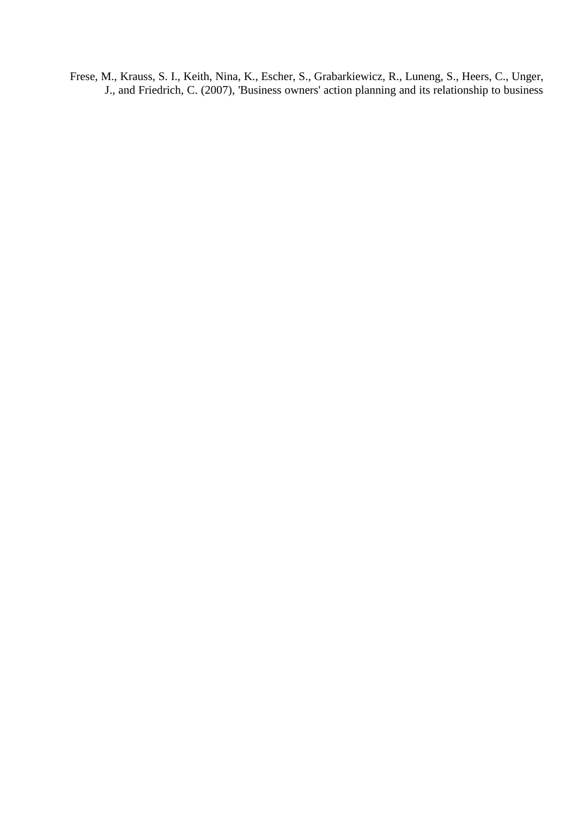<span id="page-25-0"></span>Frese, M., Krauss, S. I., Keith, Nina, K., Escher, S., Grabarkiewicz, R., Luneng, S., Heers, C., Unger, J., and Friedrich, C. (2007), 'Business owners' action planning and its relationship to business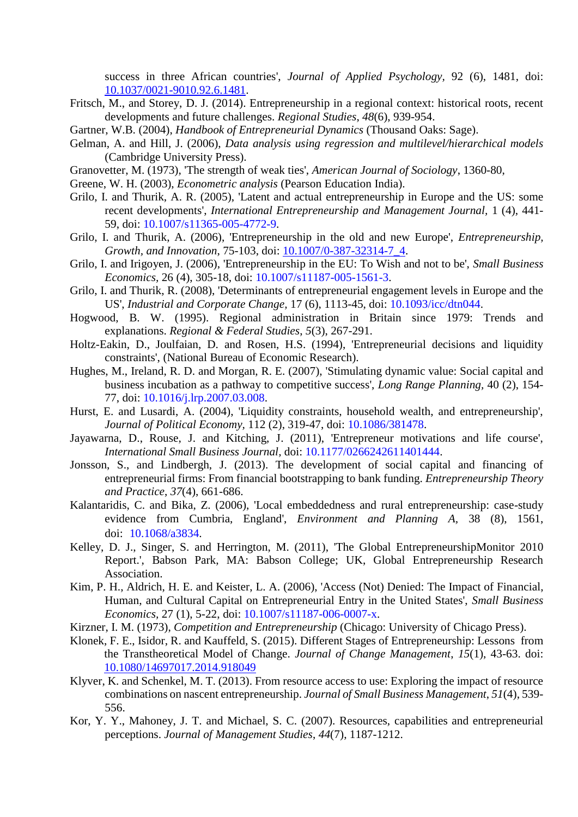<span id="page-26-19"></span>success in three African countries', *Journal of Applied Psychology,* 92 (6), 1481, doi: [10.1037/0021-9010.92.6.1481.](http://dx.doi.org/10.1037/0021-9010.92.6.1481)

- <span id="page-26-20"></span>Fritsch, M., and Storey, D. J. (2014). Entrepreneurship in a regional context: historical roots, recent developments and future challenges. *Regional Studies*, *48*(6), 939-954.
- <span id="page-26-6"></span>Gartner, W.B. (2004), *Handbook of Entrepreneurial Dynamics* (Thousand Oaks: Sage).
- <span id="page-26-18"></span>Gelman, A. and Hill, J. (2006), *Data analysis using regression and multilevel/hierarchical models* (Cambridge University Press).
- <span id="page-26-14"></span>Granovetter, M. (1973), 'The strength of weak ties', *American Journal of Sociology*, 1360-80,
- Greene, W. H. (2003), *Econometric analysis* (Pearson Education India).
- <span id="page-26-4"></span>Grilo, I. and Thurik, A. R. (2005), 'Latent and actual entrepreneurship in Europe and the US: some recent developments', *International Entrepreneurship and Management Journal,* 1 (4), 441- 59, doi: [10.1007/s11365-005-4772-9.](http://dx.doi.org/10.1007%2Fs11365-005-4772-9)
- <span id="page-26-5"></span>Grilo, I. and Thurik, A. (2006), 'Entrepreneurship in the old and new Europe', *Entrepreneurship, Growth, and Innovation*, 75-103, doi: [10.1007/0-387-32314-7\\_4.](http://dx.doi.org/10.1007/0-387-32314-7_4)
- <span id="page-26-3"></span>Grilo, I. and Irigoyen, J. (2006), 'Entrepreneurship in the EU: To Wish and not to be', *Small Business Economics,* 26 (4), 305-18, doi: [10.1007/s11187-005-1561-3.](http://dx.doi.org/10.1007%2Fs11187-005-1561-3)
- <span id="page-26-13"></span>Grilo, I. and Thurik, R. (2008), 'Determinants of entrepreneurial engagement levels in Europe and the US', *Industrial and Corporate Change,* 17 (6), 1113-45, doi: [10.1093/icc/dtn044.](http://dx.doi.org/10.1093/icc/dtn044)
- <span id="page-26-16"></span>Hogwood, B. W. (1995). Regional administration in Britain since 1979: Trends and explanations. *Regional & Federal Studies*, *5*(3), 267-291.
- <span id="page-26-8"></span>Holtz-Eakin, D., Joulfaian, D. and Rosen, H.S. (1994), 'Entrepreneurial decisions and liquidity constraints', (National Bureau of Economic Research).
- <span id="page-26-15"></span>Hughes, M., Ireland, R. D. and Morgan, R. E. (2007), 'Stimulating dynamic value: Social capital and business incubation as a pathway to competitive success', *Long Range Planning,* 40 (2), 154- 77, doi: [10.1016/j.lrp.2007.03.008.](http://dx.doi.org/10.1016/j.lrp.2007.03.008)
- <span id="page-26-12"></span>Hurst, E. and Lusardi, A. (2004), 'Liquidity constraints, household wealth, and entrepreneurship', *Journal of Political Economy,* 112 (2), 319-47, doi: [10.1086/381478.](http://dx.doi.org/10.1086/381478)
- <span id="page-26-11"></span>Jayawarna, D., Rouse, J. and Kitching, J. (2011), 'Entrepreneur motivations and life course', *International Small Business Journal,* doi: [10.1177/0266242611401444.](http://dx.doi.org/10.1177/0266242611401444)
- <span id="page-26-7"></span>Jonsson, S., and Lindbergh, J. (2013). The development of social capital and financing of entrepreneurial firms: From financial bootstrapping to bank funding. *Entrepreneurship Theory and Practice*, *37*(4), 661-686.
- <span id="page-26-17"></span>Kalantaridis, C. and Bika, Z. (2006), 'Local embeddedness and rural entrepreneurship: case-study evidence from Cumbria, England', *Environment and Planning A,* 38 (8), 1561, doi: [10.1068/a3834.](http://dx.doi.org/10.1068/a3834)
- <span id="page-26-0"></span>Kelley, D. J., Singer, S. and Herrington, M. (2011), 'The Global EntrepreneurshipMonitor 2010 Report.', Babson Park, MA: Babson College; UK, Global Entrepreneurship Research Association.
- <span id="page-26-9"></span>Kim, P. H., Aldrich, H. E. and Keister, L. A. (2006), 'Access (Not) Denied: The Impact of Financial, Human, and Cultural Capital on Entrepreneurial Entry in the United States', *Small Business Economics,* 27 (1), 5-22, doi: [10.1007/s11187-006-0007-x.](http://dx.doi.org/10.1007%2Fs11187-006-0007-x)
- <span id="page-26-21"></span>Kirzner, I. M. (1973), *Competition and Entrepreneurship* (Chicago: University of Chicago Press).
- <span id="page-26-1"></span>Klonek, F. E., Isidor, R. and Kauffeld, S. (2015). Different Stages of Entrepreneurship: Lessons from the Transtheoretical Model of Change. *Journal of Change Management*, *15*(1), 43-63. doi: [10.1080/14697017.2014.918049](http://dx.doi.org/10.1080/14697017.2014.918049)
- <span id="page-26-10"></span>Klyver, K. and Schenkel, M. T. (2013). From resource access to use: Exploring the impact of resource combinations on nascent entrepreneurship. *Journal of Small Business Management*, *51*(4), 539- 556.
- <span id="page-26-2"></span>Kor, Y. Y., Mahoney, J. T. and Michael, S. C. (2007). Resources, capabilities and entrepreneurial perceptions. *Journal of Management Studies*, *44*(7), 1187-1212.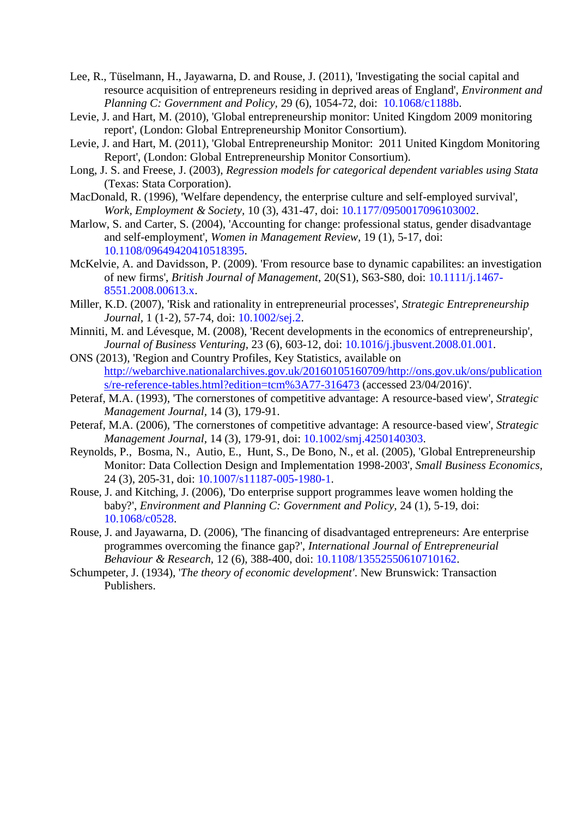- Lee, R., Tüselmann, H., Jayawarna, D. and Rouse, J. (2011), 'Investigating the social capital and resource acquisition of entrepreneurs residing in deprived areas of England', *Environment and Planning C: Government and Policy,* 29 (6), 1054-72, doi: [10.1068/c1188b.](http://dx.doi.org/%2010.1068/c1188b)
- <span id="page-27-11"></span><span id="page-27-1"></span>Levie, J. and Hart, M. (2010), 'Global entrepreneurship monitor: United Kingdom 2009 monitoring report', (London: Global Entrepreneurship Monitor Consortium).
- <span id="page-27-13"></span>Levie, J. and Hart, M. (2011), 'Global Entrepreneurship Monitor: 2011 United Kingdom Monitoring Report', (London: Global Entrepreneurship Monitor Consortium).
- <span id="page-27-7"></span>Long, J. S. and Freese, J. (2003), *Regression models for categorical dependent variables using Stata* (Texas: Stata Corporation).
- <span id="page-27-8"></span>MacDonald, R. (1996), 'Welfare dependency, the enterprise culture and self-employed survival', *Work, Employment & Society,* 10 (3), 431-47, doi: [10.1177/0950017096103002.](http://dx.doi.org/10.1177/0950017096103002)
- Marlow, S. and Carter, S. (2004), 'Accounting for change: professional status, gender disadvantage and self-employment', *Women in Management Review,* 19 (1), 5-17, doi: [10.1108/09649420410518395.](http://dx.doi.org/10.1108/09649420410518395)
- <span id="page-27-5"></span>McKelvie, A. and Davidsson, P. (2009). 'From resource base to dynamic capabilites: an investigation of new firms', *British Journal of Management*, 20(S1), S63-S80, doi: [10.1111/j.1467-](http://dx.doi.org/10.1111/j.1467-8551.2008.00613.x) [8551.2008.00613.x.](http://dx.doi.org/10.1111/j.1467-8551.2008.00613.x)
- <span id="page-27-10"></span><span id="page-27-0"></span>Miller, K.D. (2007), 'Risk and rationality in entrepreneurial processes', *Strategic Entrepreneurship Journal,* 1 (1‐2), 57-74, doi: [10.1002/sej.2.](http://dx.doi.org/10.1002/sej.2)
- <span id="page-27-12"></span>Minniti, M. and Lévesque, M. (2008), 'Recent developments in the economics of entrepreneurship', *Journal of Business Venturing,* 23 (6), 603-12, doi: [10.1016/j.jbusvent.2008.01.001.](http://dx.doi.org/10.1016/j.jbusvent.2008.01.001)
- ONS (2013), 'Region and Country Profiles, Key Statistics, available on [http://webarchive.nationalarchives.gov.uk/20160105160709/http://ons.gov.uk/ons/publication](http://webarchive.nationalarchives.gov.uk/20160105160709/http:/ons.gov.uk/ons/publications/re-reference-tables.html?edition=tcm%3A77-316473) [s/re-reference-tables.html?edition=tcm%3A77-316473](http://webarchive.nationalarchives.gov.uk/20160105160709/http:/ons.gov.uk/ons/publications/re-reference-tables.html?edition=tcm%3A77-316473) (accessed 23/04/2016)'.
- <span id="page-27-4"></span><span id="page-27-3"></span>Peteraf, M.A. (1993), 'The cornerstones of competitive advantage: A resource-based view', *Strategic Management Journal,* 14 (3), 179-91.
- <span id="page-27-2"></span>Peteraf, M.A. (2006), 'The cornerstones of competitive advantage: A resource‐based view', *Strategic Management Journal,* 14 (3), 179-91, doi: [10.1002/smj.4250140303.](http://dx.doi.org/10.1002/smj.4250140303)
- Reynolds, P., [Bosma,](http://link.springer.com/article/10.1007/s11187-005-1980-1#author-details-2) N., [Autio,](http://link.springer.com/article/10.1007/s11187-005-1980-1#author-details-3) E., [Hunt,](http://link.springer.com/article/10.1007/s11187-005-1980-1#author-details-4) S., [De Bono,](http://link.springer.com/article/10.1007/s11187-005-1980-1#author-details-5) N., et al. (2005), 'Global Entrepreneurship Monitor: Data Collection Design and Implementation 1998-2003', *Small Business Economics,* 24 (3), 205-31, doi: [10.1007/s11187-005-1980-1.](http://dx.doi.org/10.1007%2Fs11187-005-1980-1)
- <span id="page-27-9"></span>Rouse, J. and Kitching, J. (2006), 'Do enterprise support programmes leave women holding the baby?', *Environment and Planning C: Government and Policy,* 24 (1), 5-19, doi: [10.1068/c0528.](http://dx.doi.org/doi:10.1068/c0528)
- <span id="page-27-6"></span>Rouse, J. and Jayawarna, D. (2006), 'The financing of disadvantaged entrepreneurs: Are enterprise programmes overcoming the finance gap?', *International Journal of Entrepreneurial Behaviour & Research,* 12 (6), 388-400, doi: [10.1108/13552550610710162.](http://dx.doi.org/10.1108/13552550610710162)
- <span id="page-27-14"></span>Schumpeter, J. (1934), '*The theory of economic development'*. New Brunswick: Transaction Publishers.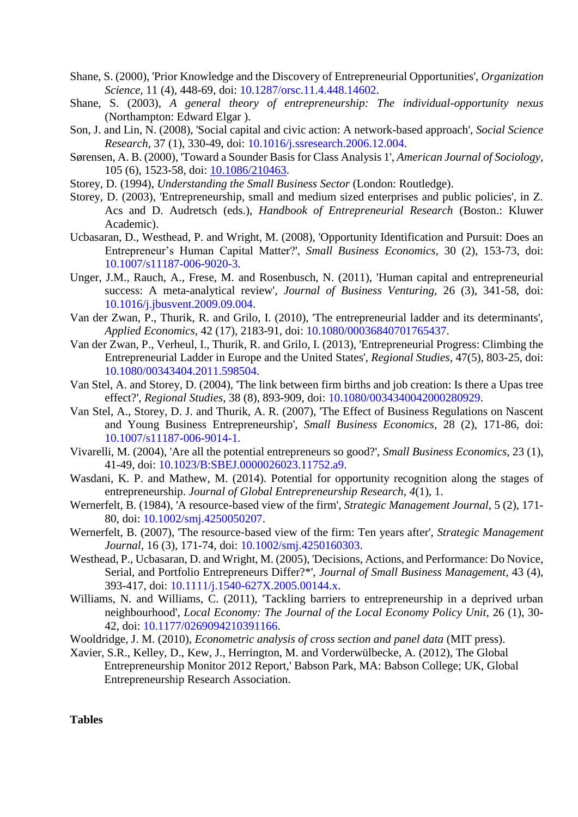- <span id="page-28-13"></span>Shane, S. (2000), 'Prior Knowledge and the Discovery of Entrepreneurial Opportunities', *Organization Science,* 11 (4), 448-69, doi: [10.1287/orsc.11.4.448.14602.](http://dx.doi.org/10.1287/orsc.11.4.448.14602)
- <span id="page-28-14"></span>Shane, S. (2003), *A general theory of entrepreneurship: The individual-opportunity nexus* (Northampton: Edward Elgar ).
- <span id="page-28-16"></span>Son, J. and Lin, N. (2008), 'Social capital and civic action: A network-based approach', *Social Science Research,* 37 (1), 330-49, doi: [10.1016/j.ssresearch.2006.12.004.](http://dx.doi.org/10.1016/j.ssresearch.2006.12.004)
- <span id="page-28-9"></span>Sørensen, A. B. (2000), 'Toward a Sounder Basis for Class Analysis 1', *American Journal of Sociology,* 105 (6), 1523-58, doi: [10.1086/210463.](http://dx.doi.org/10.1086/210463)
- <span id="page-28-15"></span>Storey, D. (1994), *Understanding the Small Business Sector* (London: Routledge).
- <span id="page-28-0"></span>Storey, D. (2003), 'Entrepreneurship, small and medium sized enterprises and public policies', in Z. Acs and D. Audretsch (eds.), *Handbook of Entrepreneurial Research* (Boston.: Kluwer Academic).
- <span id="page-28-12"></span>Ucbasaran, D., Westhead, P. and Wright, M. (2008), 'Opportunity Identification and Pursuit: Does an Entrepreneur's Human Capital Matter?', *Small Business Economics,* 30 (2), 153-73, doi: [10.1007/s11187-006-9020-3.](http://dx.doi.org/10.1007/s11187-006-9020-3)
- <span id="page-28-11"></span>Unger, J.M., Rauch, A., Frese, M. and Rosenbusch, N. (2011), 'Human capital and entrepreneurial success: A meta-analytical review', *Journal of Business Venturing,* 26 (3), 341-58, doi: [10.1016/j.jbusvent.2009.09.004.](http://dx.doi.org/10.1016/j.jbusvent.2009.09.004)
- <span id="page-28-3"></span>Van der Zwan, P., Thurik, R. and Grilo, I. (2010), 'The entrepreneurial ladder and its determinants', *Applied Economics,* 42 (17), 2183-91, doi: [10.1080/00036840701765437.](http://dx.doi.org/10.1080/00036840701765437)
- <span id="page-28-4"></span>Van der Zwan, P., Verheul, I., Thurik, R. and Grilo, I. (2013), 'Entrepreneurial Progress: Climbing the Entrepreneurial Ladder in Europe and the United States', *Regional Studies*, 47(5), 803-25, doi: [10.1080/00343404.2011.598504.](http://dx.doi.org/10.1080/00343404.2011.598504)
- <span id="page-28-1"></span>Van Stel, A. and Storey, D. (2004), 'The link between firm births and job creation: Is there a Upas tree effect?', *Regional Studies,* 38 (8), 893-909, doi: [10.1080/0034340042000280929.](http://dx.doi.org/10.1080/0034340042000280929)
- <span id="page-28-18"></span>Van Stel, A., Storey, D. J. and Thurik, A. R. (2007), 'The Effect of Business Regulations on Nascent and Young Business Entrepreneurship', *Small Business Economics,* 28 (2), 171-86, doi: [10.1007/s11187-006-9014-1.](http://dx.doi.org/10.1007/s11187-006-9014-1)
- <span id="page-28-6"></span>Vivarelli, M. (2004), 'Are all the potential entrepreneurs so good?', *Small Business Economics,* 23 (1), 41-49, doi: [10.1023/B:SBEJ.0000026023.11752.a9.](http://dx.doi.org/10.1023%2FB%3ASBEJ.0000026023.11752.a9)
- <span id="page-28-5"></span>Wasdani, K. P. and Mathew, M. (2014). Potential for opportunity recognition along the stages of entrepreneurship. *Journal of Global Entrepreneurship Research*, *4*(1), 1.
- <span id="page-28-7"></span>Wernerfelt, B. (1984), 'A resource-based view of the firm', *Strategic Management Journal,* 5 (2), 171- 80, doi: [10.1002/smj.4250050207.](http://dx.doi.org/10.1002/smj.4250050207)
- Wernerfelt, B. (2007), 'The resource-based view of the firm: Ten years after', *Strategic Management Journal,* 16 (3), 171-74, doi: [10.1002/smj.4250160303.](http://dx.doi.org/10.1002/smj.4250160303)
- <span id="page-28-8"></span>Westhead, P., Ucbasaran, D. and Wright, M. (2005), 'Decisions, Actions, and Performance: Do Novice, Serial, and Portfolio Entrepreneurs Differ?\*', *Journal of Small Business Management,* 43 (4), 393-417, doi: [10.1111/j.1540-627X.2005.00144.x.](http://dx.doi.org/10.1111/j.1540-627X.2005.00144.x)
- <span id="page-28-10"></span>Williams, N. and Williams, C. (2011), 'Tackling barriers to entrepreneurship in a deprived urban neighbourhood', *Local Economy: The Journal of the Local Economy Policy Unit,* 26 (1), 30- 42, doi: [10.1177/0269094210391166.](http://dx.doi.org/10.1177/0269094210391166)
- <span id="page-28-17"></span>Wooldridge, J. M. (2010), *Econometric analysis of cross section and panel data* (MIT press).
- <span id="page-28-2"></span>Xavier, S.R., Kelley, D., Kew, J., Herrington, M. and Vorderwülbecke, A. (2012), The Global Entrepreneurship Monitor 2012 Report,' Babson Park, MA: Babson College; UK, Global Entrepreneurship Research Association.

**Tables**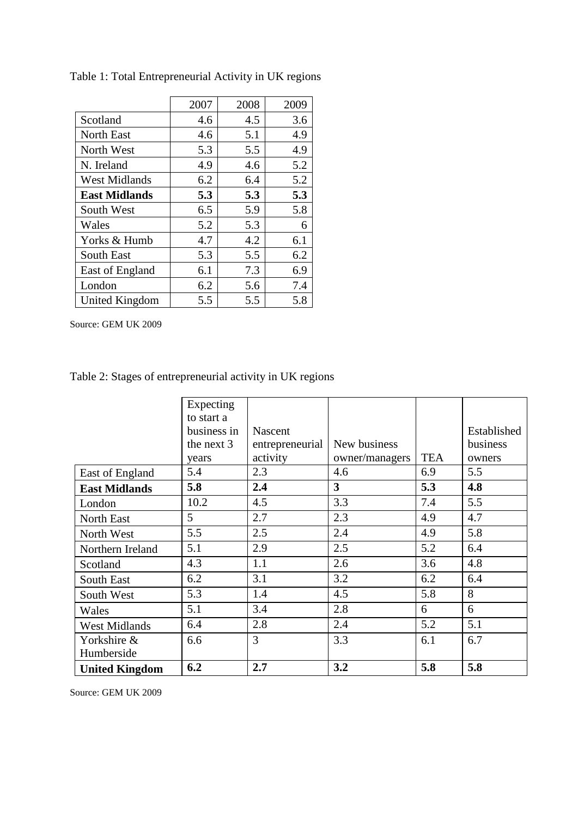|                       | 2007 | 2008 | 2009 |
|-----------------------|------|------|------|
| Scotland              | 4.6  | 4.5  | 3.6  |
| <b>North East</b>     | 4.6  | 5.1  | 4.9  |
| North West            | 5.3  | 5.5  | 4.9  |
| N. Ireland            | 4.9  | 4.6  | 5.2  |
| <b>West Midlands</b>  | 6.2  | 6.4  | 5.2  |
| <b>East Midlands</b>  | 5.3  | 5.3  | 5.3  |
| South West            | 6.5  | 5.9  | 5.8  |
| Wales                 | 5.2  | 5.3  | 6    |
| Yorks & Humb          | 4.7  | 4.2  | 6.1  |
| <b>South East</b>     | 5.3  | 5.5  | 6.2  |
| East of England       | 6.1  | 7.3  | 6.9  |
| London                | 6.2  | 5.6  | 7.4  |
| <b>United Kingdom</b> | 5.5  | 5.5  | 5.8  |

Table 1: Total Entrepreneurial Activity in UK regions

Source: GEM UK 2009

# Table 2: Stages of entrepreneurial activity in UK regions

|                       | Expecting<br>to start a |                 |                |            |             |
|-----------------------|-------------------------|-----------------|----------------|------------|-------------|
|                       | business in             | Nascent         |                |            | Established |
|                       | the next 3              | entrepreneurial | New business   |            | business    |
|                       | years                   | activity        | owner/managers | <b>TEA</b> | owners      |
| East of England       | 5.4                     | 2.3             | 4.6            | 6.9        | 5.5         |
| <b>East Midlands</b>  | 5.8                     | 2.4             | 3              | 5.3        | 4.8         |
| London                | 10.2                    | 4.5             | 3.3            | 7.4        | 5.5         |
| North East            | 5                       | 2.7             | 2.3            | 4.9        | 4.7         |
| North West            | 5.5                     | 2.5             | 2.4            | 4.9        | 5.8         |
| Northern Ireland      | 5.1                     | 2.9             | 2.5            | 5.2        | 6.4         |
| Scotland              | 4.3                     | 1.1             | 2.6            | 3.6        | 4.8         |
| South East            | 6.2                     | 3.1             | 3.2            | 6.2        | 6.4         |
| South West            | 5.3                     | 1.4             | 4.5            | 5.8        | 8           |
| Wales                 | 5.1                     | 3.4             | 2.8            | 6          | 6           |
| <b>West Midlands</b>  | 6.4                     | 2.8             | 2.4            | 5.2        | 5.1         |
| Yorkshire &           | 6.6                     | 3               | 3.3            | 6.1        | 6.7         |
| Humberside            |                         |                 |                |            |             |
| <b>United Kingdom</b> | 6.2                     | 2.7             | 3.2            | 5.8        | 5.8         |

Source: GEM UK 2009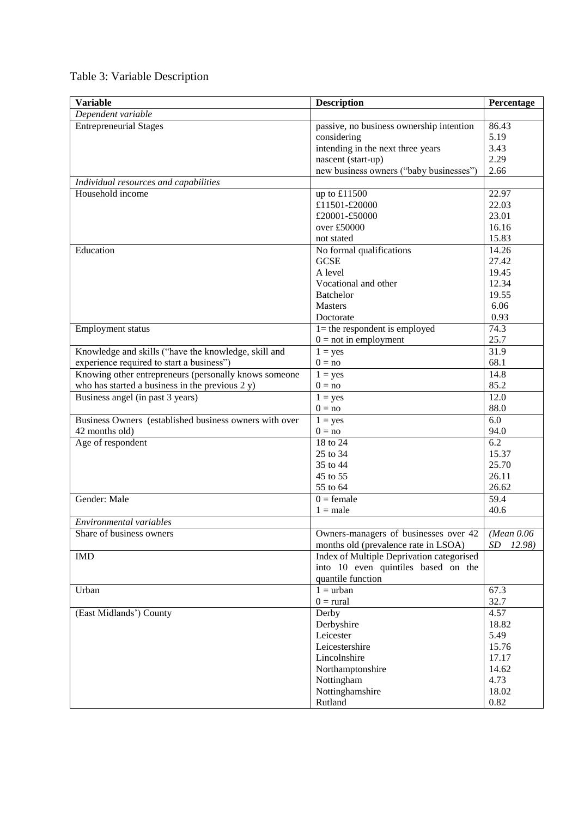| <b>Variable</b>                                        | <b>Description</b>                        | Percentage             |
|--------------------------------------------------------|-------------------------------------------|------------------------|
| Dependent variable                                     |                                           |                        |
| <b>Entrepreneurial Stages</b>                          | passive, no business ownership intention  | 86.43                  |
|                                                        | considering                               | 5.19                   |
|                                                        | intending in the next three years         | 3.43                   |
|                                                        | nascent (start-up)                        | 2.29                   |
|                                                        | new business owners ("baby businesses")   | 2.66                   |
| Individual resources and capabilities                  |                                           |                        |
| Household income                                       | up to £11500                              | 22.97                  |
|                                                        | £11501-£20000                             | 22.03                  |
|                                                        | £20001-£50000                             | 23.01                  |
|                                                        | over £50000                               | 16.16                  |
|                                                        | not stated                                | 15.83                  |
| Education                                              | No formal qualifications                  | 14.26                  |
|                                                        | <b>GCSE</b>                               | 27.42                  |
|                                                        | A level                                   | 19.45                  |
|                                                        | Vocational and other                      | 12.34                  |
|                                                        | <b>Batchelor</b>                          | 19.55                  |
|                                                        | <b>Masters</b>                            | 6.06                   |
|                                                        | Doctorate                                 | 0.93                   |
| Employment status                                      | $1 =$ the respondent is employed          | 74.3                   |
|                                                        | $0 = not$ in employment                   | 25.7                   |
| Knowledge and skills ("have the knowledge, skill and   | $1 = yes$                                 | 31.9                   |
| experience required to start a business")              | $0 = no$                                  | 68.1                   |
| Knowing other entrepreneurs (personally knows someone  | $1 = yes$                                 | 14.8                   |
| who has started a business in the previous $2 y$ )     | $0 = no$                                  | 85.2                   |
| Business angel (in past 3 years)                       | $1 = yes$                                 | 12.0                   |
|                                                        | $0 = no$                                  | 88.0                   |
| Business Owners (established business owners with over | $1 = yes$                                 | 6.0                    |
| 42 months old)                                         | $0 = no$                                  | 94.0                   |
| Age of respondent                                      | 18 to 24                                  | 6.2                    |
|                                                        | 25 to 34                                  | 15.37                  |
|                                                        | 35 to 44                                  | 25.70                  |
|                                                        | 45 to 55                                  | 26.11                  |
|                                                        | 55 to 64                                  | 26.62                  |
| Gender: Male                                           | $0 =$ female                              | 59.4                   |
|                                                        | $1 = male$                                | 40.6                   |
| Environmental variables                                |                                           |                        |
| Share of business owners                               | Owners-managers of businesses over 42     | $(Mean\ 0.06)$         |
|                                                        | months old (prevalence rate in LSOA)      | $\cal SD$<br>$12.98$ ) |
| <b>IMD</b>                                             | Index of Multiple Deprivation categorised |                        |
|                                                        | into 10 even quintiles based on the       |                        |
|                                                        | quantile function                         |                        |
| Urban                                                  | $1 =$ urban                               | 67.3                   |
|                                                        | $0 = \text{rural}$                        | 32.7                   |
| (East Midlands <sup>7</sup> ) County                   | Derby                                     | 4.57                   |
|                                                        | Derbyshire                                | 18.82                  |
|                                                        | Leicester                                 | 5.49                   |
|                                                        | Leicestershire                            | 15.76                  |
|                                                        | Lincolnshire                              | 17.17                  |
|                                                        | Northamptonshire                          | 14.62                  |
|                                                        | Nottingham                                | 4.73                   |
|                                                        | Nottinghamshire                           | 18.02                  |
|                                                        | Rutland                                   | 0.82                   |

# Table 3: Variable Description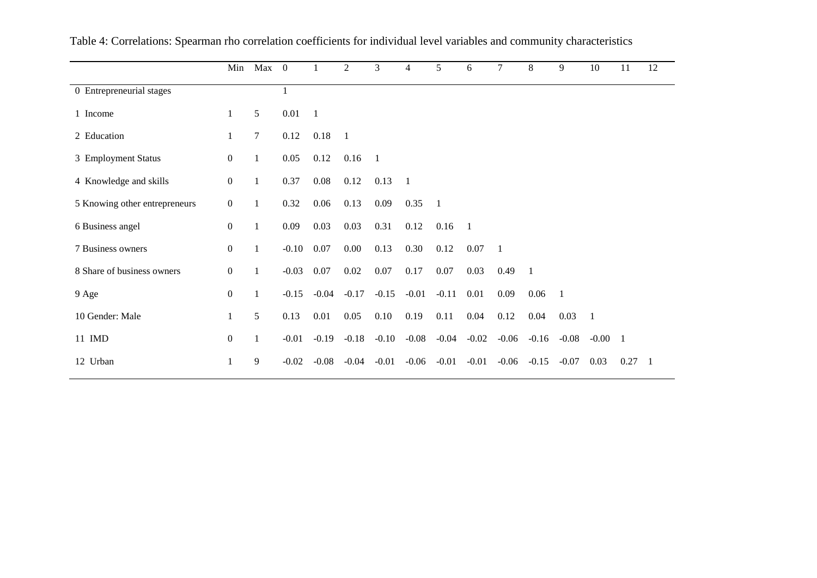|                               | Min              | Max 0  |         | 1            | 2              | 3              | 4              | 5       | 6       | 7              | 8              | 9              | 10             | 11             | 12             |
|-------------------------------|------------------|--------|---------|--------------|----------------|----------------|----------------|---------|---------|----------------|----------------|----------------|----------------|----------------|----------------|
| 0 Entrepreneurial stages      |                  |        |         |              |                |                |                |         |         |                |                |                |                |                |                |
| 1 Income                      | 1                | 5      | 0.01    | $\mathbf{1}$ |                |                |                |         |         |                |                |                |                |                |                |
| 2 Education                   | 1                | $\tau$ | 0.12    | 0.18         | $\overline{1}$ |                |                |         |         |                |                |                |                |                |                |
| 3 Employment Status           | $\boldsymbol{0}$ | 1      | 0.05    | 0.12         | 0.16           | $\overline{1}$ |                |         |         |                |                |                |                |                |                |
| 4 Knowledge and skills        | $\overline{0}$   | 1      | 0.37    | 0.08         | 0.12           | 0.13           | $\overline{1}$ |         |         |                |                |                |                |                |                |
| 5 Knowing other entrepreneurs | $\mathbf{0}$     | 1      | 0.32    | 0.06         | 0.13           | 0.09           | 0.35           | -1      |         |                |                |                |                |                |                |
| 6 Business angel              | $\boldsymbol{0}$ | 1      | 0.09    | 0.03         | 0.03           | 0.31           | 0.12           | 0.16    | -1      |                |                |                |                |                |                |
| 7 Business owners             | $\boldsymbol{0}$ | 1      | $-0.10$ | 0.07         | 0.00           | 0.13           | 0.30           | 0.12    | 0.07    | $\overline{1}$ |                |                |                |                |                |
| 8 Share of business owners    | $\boldsymbol{0}$ | 1      | $-0.03$ | 0.07         | 0.02           | 0.07           | 0.17           | 0.07    | 0.03    | 0.49           | $\overline{1}$ |                |                |                |                |
| 9 Age                         | $\boldsymbol{0}$ | 1      | $-0.15$ | $-0.04$      | $-0.17$        | $-0.15$        | $-0.01$        | $-0.11$ | 0.01    | 0.09           | 0.06           | $\overline{1}$ |                |                |                |
| 10 Gender: Male               | $\mathbf{1}$     | 5      | 0.13    | 0.01         | 0.05           | 0.10           | 0.19           | 0.11    | 0.04    | 0.12           | 0.04           | 0.03           | $\overline{1}$ |                |                |
| 11 IMD                        | $\boldsymbol{0}$ | 1      | $-0.01$ | $-0.19$      | $-0.18$        | $-0.10$        | $-0.08$        | $-0.04$ | $-0.02$ | $-0.06$        | $-0.16$        | $-0.08$        | $-0.00$        | $\overline{1}$ |                |
| 12 Urban                      | $\mathbf{1}$     | 9      | $-0.02$ | $-0.08$      | $-0.04$        | $-0.01$        | $-0.06$        | $-0.01$ | $-0.01$ | $-0.06$        | $-0.15$        | $-0.07$        | 0.03           | 0.27           | $\blacksquare$ |

Table 4: Correlations: Spearman rho correlation coefficients for individual level variables and community characteristics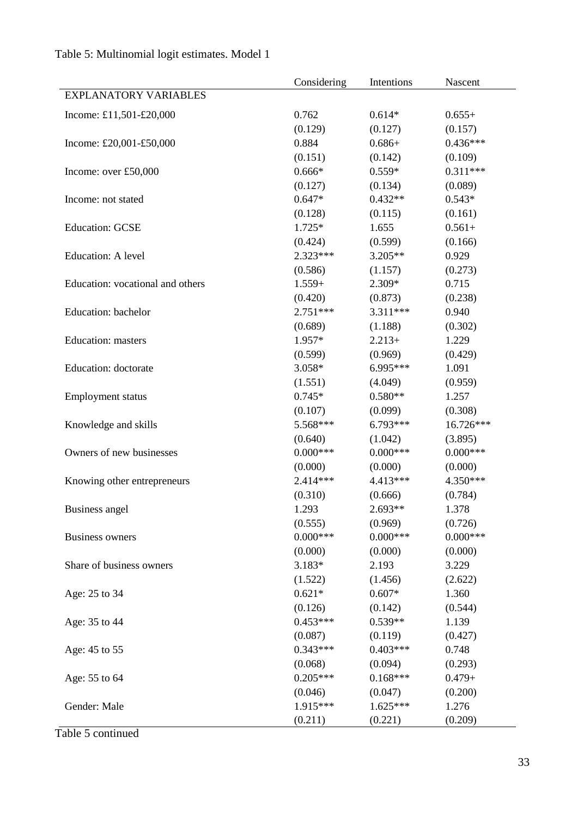|                                  | Considering           | Intentions            | Nascent               |
|----------------------------------|-----------------------|-----------------------|-----------------------|
| <b>EXPLANATORY VARIABLES</b>     |                       |                       |                       |
| Income: £11,501-£20,000          | 0.762                 | $0.614*$              | $0.655+$              |
|                                  | (0.129)               | (0.127)               | (0.157)               |
| Income: £20,001-£50,000          | 0.884                 | $0.686 +$             | $0.436***$            |
|                                  | (0.151)               | (0.142)               | (0.109)               |
| Income: over £50,000             | $0.666*$              | $0.559*$              | $0.311***$            |
|                                  | (0.127)               | (0.134)               | (0.089)               |
| Income: not stated               | $0.647*$              | $0.432**$             | $0.543*$              |
|                                  | (0.128)               | (0.115)               | (0.161)               |
| <b>Education: GCSE</b>           | $1.725*$              | 1.655                 | $0.561+$              |
|                                  | (0.424)               | (0.599)               | (0.166)               |
| Education: A level               | $2.323***$            | $3.205**$             | 0.929                 |
|                                  | (0.586)               | (1.157)               | (0.273)               |
| Education: vocational and others | $1.559+$              | $2.309*$              | 0.715                 |
|                                  | (0.420)               | (0.873)               | (0.238)               |
| Education: bachelor              | $2.751***$            | $3.311***$            | 0.940                 |
|                                  | (0.689)               | (1.188)               | (0.302)               |
| <b>Education:</b> masters        | 1.957*                | $2.213+$              | 1.229                 |
|                                  | (0.599)               | (0.969)               | (0.429)               |
| <b>Education:</b> doctorate      | 3.058*                | 6.995***              | 1.091                 |
|                                  | (1.551)               | (4.049)               | (0.959)               |
| <b>Employment status</b>         | $0.745*$              | $0.580**$             | 1.257                 |
|                                  | (0.107)               | (0.099)               | (0.308)               |
| Knowledge and skills             | 5.568***              | $6.793***$            | 16.726***             |
|                                  | (0.640)               | (1.042)               | (3.895)               |
| Owners of new businesses         | $0.000***$            | $0.000***$            | $0.000***$            |
|                                  | (0.000)               | (0.000)               | (0.000)               |
|                                  | 2.414***              | 4.413***              | 4.350***              |
| Knowing other entrepreneurs      | (0.310)               | (0.666)               | (0.784)               |
|                                  | 1.293                 | $2.693**$             | 1.378                 |
| <b>Business</b> angel            |                       |                       |                       |
|                                  | (0.555)<br>$0.000***$ | (0.969)<br>$0.000***$ | (0.726)<br>$0.000***$ |
| <b>Business owners</b>           |                       |                       | (0.000)               |
|                                  | (0.000)<br>$3.183*$   | (0.000)<br>2.193      | 3.229                 |
| Share of business owners         |                       |                       |                       |
|                                  | (1.522)               | (1.456)               | (2.622)               |
| Age: 25 to 34                    | $0.621*$              | $0.607*$              | 1.360                 |
|                                  | (0.126)               | (0.142)               | (0.544)               |
| Age: 35 to 44                    | $0.453***$            | $0.539**$             | 1.139                 |
|                                  | (0.087)               | (0.119)               | (0.427)               |
| Age: 45 to 55                    | $0.343***$            | $0.403***$            | 0.748                 |
|                                  | (0.068)               | (0.094)               | (0.293)               |
| Age: 55 to 64                    | $0.205***$            | $0.168***$            | $0.479+$              |
|                                  | (0.046)               | (0.047)               | (0.200)               |
| Gender: Male                     | 1.915***              | $1.625***$            | 1.276                 |
|                                  | (0.211)               | (0.221)               | (0.209)               |

# Table 5: Multinomial logit estimates. Model 1

Table 5 continued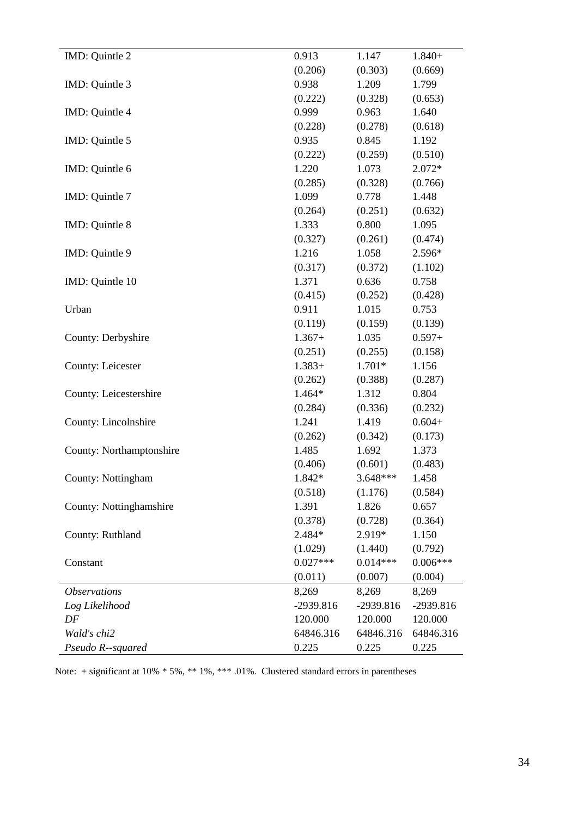| IMD: Quintle 2             | 0.913      | 1.147      | $1.840+$   |
|----------------------------|------------|------------|------------|
|                            | (0.206)    | (0.303)    | (0.669)    |
| IMD: Quintle 3             | 0.938      | 1.209      | 1.799      |
|                            | (0.222)    | (0.328)    | (0.653)    |
| IMD: Quintle 4             | 0.999      | 0.963      | 1.640      |
|                            | (0.228)    | (0.278)    | (0.618)    |
| IMD: Quintle 5             | 0.935      | 0.845      | 1.192      |
|                            | (0.222)    | (0.259)    | (0.510)    |
| IMD: Quintle 6             | 1.220      | 1.073      | $2.072*$   |
|                            | (0.285)    | (0.328)    | (0.766)    |
| IMD: Quintle 7             | 1.099      | 0.778      | 1.448      |
|                            | (0.264)    | (0.251)    | (0.632)    |
| IMD: Quintle 8             | 1.333      | 0.800      | 1.095      |
|                            | (0.327)    | (0.261)    | (0.474)    |
| IMD: Quintle 9             | 1.216      | 1.058      | 2.596*     |
|                            | (0.317)    | (0.372)    | (1.102)    |
| IMD: Quintle 10            | 1.371      | 0.636      | 0.758      |
|                            | (0.415)    | (0.252)    | (0.428)    |
| Urban                      | 0.911      | 1.015      | 0.753      |
|                            | (0.119)    | (0.159)    | (0.139)    |
| County: Derbyshire         | $1.367+$   | 1.035      | $0.597+$   |
|                            | (0.251)    | (0.255)    | (0.158)    |
| <b>County: Leicester</b>   | $1.383+$   | $1.701*$   | 1.156      |
|                            | (0.262)    | (0.388)    | (0.287)    |
| County: Leicestershire     | 1.464*     | 1.312      | 0.804      |
|                            | (0.284)    | (0.336)    | (0.232)    |
| County: Lincolnshire       | 1.241      | 1.419      | $0.604+$   |
|                            | (0.262)    | (0.342)    | (0.173)    |
| County: Northamptonshire   | 1.485      | 1.692      | 1.373      |
|                            | (0.406)    | (0.601)    | (0.483)    |
| County: Nottingham         | 1.842*     | $3.648***$ | 1.458      |
|                            | (0.518)    | (1.176)    | (0.584)    |
| County: Nottinghamshire    | 1.391      | 1.826      | 0.657      |
|                            | (0.378)    | (0.728)    | (0.364)    |
| County: Ruthland           | 2.484*     | 2.919*     | 1.150      |
|                            | (1.029)    | (1.440)    | (0.792)    |
| Constant                   | $0.027***$ | $0.014***$ | $0.006***$ |
|                            | (0.011)    | (0.007)    | (0.004)    |
| <i><b>Observations</b></i> | 8,269      | 8,269      | 8,269      |
| Log Likelihood             | -2939.816  | -2939.816  | -2939.816  |
| DF                         | 120.000    | 120.000    | 120.000    |
| Wald's chi2                | 64846.316  | 64846.316  | 64846.316  |
| Pseudo R--squared          | 0.225      | 0.225      | 0.225      |

Note: + significant at 10% \* 5%, \*\* 1%, \*\*\* .01%. Clustered standard errors in parentheses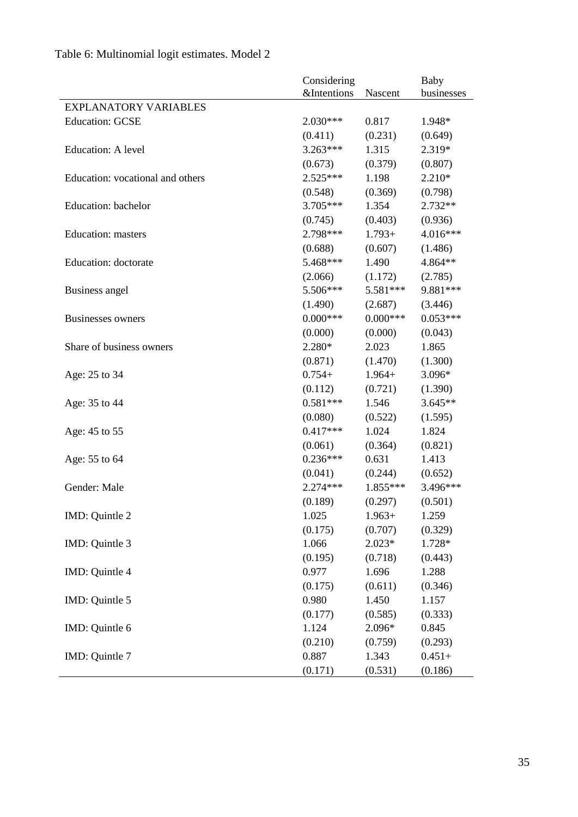|                                  | Considering            |            | <b>Baby</b> |  |
|----------------------------------|------------------------|------------|-------------|--|
|                                  | <b>&amp;Intentions</b> | Nascent    | businesses  |  |
| <b>EXPLANATORY VARIABLES</b>     |                        |            |             |  |
| <b>Education: GCSE</b>           | $2.030***$             | 0.817      | 1.948*      |  |
|                                  | (0.411)                | (0.231)    | (0.649)     |  |
| Education: A level               | $3.263***$             | 1.315      | 2.319*      |  |
|                                  | (0.673)                | (0.379)    | (0.807)     |  |
| Education: vocational and others | $2.525***$             | 1.198      | 2.210*      |  |
|                                  | (0.548)                | (0.369)    | (0.798)     |  |
| <b>Education:</b> bachelor       | 3.705***               | 1.354      | 2.732**     |  |
|                                  | (0.745)                | (0.403)    | (0.936)     |  |
| <b>Education:</b> masters        | 2.798***               | $1.793+$   | 4.016***    |  |
|                                  | (0.688)                | (0.607)    | (1.486)     |  |
| Education: doctorate             | 5.468***               | 1.490      | 4.864**     |  |
|                                  | (2.066)                | (1.172)    | (2.785)     |  |
| Business angel                   | 5.506***               | 5.581***   | 9.881***    |  |
|                                  | (1.490)                | (2.687)    | (3.446)     |  |
| <b>Businesses owners</b>         | $0.000***$             | $0.000***$ | $0.053***$  |  |
|                                  | (0.000)                | (0.000)    | (0.043)     |  |
| Share of business owners         | $2.280*$               | 2.023      | 1.865       |  |
|                                  | (0.871)                | (1.470)    | (1.300)     |  |
| Age: 25 to 34                    | $0.754+$               | $1.964+$   | 3.096*      |  |
|                                  | (0.112)                | (0.721)    | (1.390)     |  |
| Age: 35 to 44                    | $0.581***$             | 1.546      | $3.645**$   |  |
|                                  | (0.080)                | (0.522)    | (1.595)     |  |
| Age: 45 to 55                    | $0.417***$             | 1.024      | 1.824       |  |
|                                  | (0.061)                | (0.364)    | (0.821)     |  |
| Age: 55 to 64                    | $0.236***$             | 0.631      | 1.413       |  |
|                                  | (0.041)                | (0.244)    | (0.652)     |  |
| Gender: Male                     | $2.274***$             | $1.855***$ | 3.496***    |  |
|                                  | (0.189)                | (0.297)    | (0.501)     |  |
| IMD: Quintle 2                   | 1.025                  | $1.963+$   | 1.259       |  |
|                                  | (0.175)                | (0.707)    | (0.329)     |  |
| IMD: Quintle 3                   | 1.066                  | $2.023*$   | 1.728*      |  |
|                                  | (0.195)                | (0.718)    | (0.443)     |  |
| IMD: Quintle 4                   | 0.977                  | 1.696      | 1.288       |  |
|                                  | (0.175)                | (0.611)    | (0.346)     |  |
| IMD: Quintle 5                   | 0.980                  | 1.450      | 1.157       |  |
|                                  | (0.177)                | (0.585)    | (0.333)     |  |
| IMD: Quintle 6                   | 1.124                  | 2.096*     | 0.845       |  |
|                                  | (0.210)                | (0.759)    | (0.293)     |  |
| IMD: Quintle 7                   | 0.887                  | 1.343      | $0.451+$    |  |
|                                  | (0.171)                | (0.531)    | (0.186)     |  |

# Table 6: Multinomial logit estimates. Model 2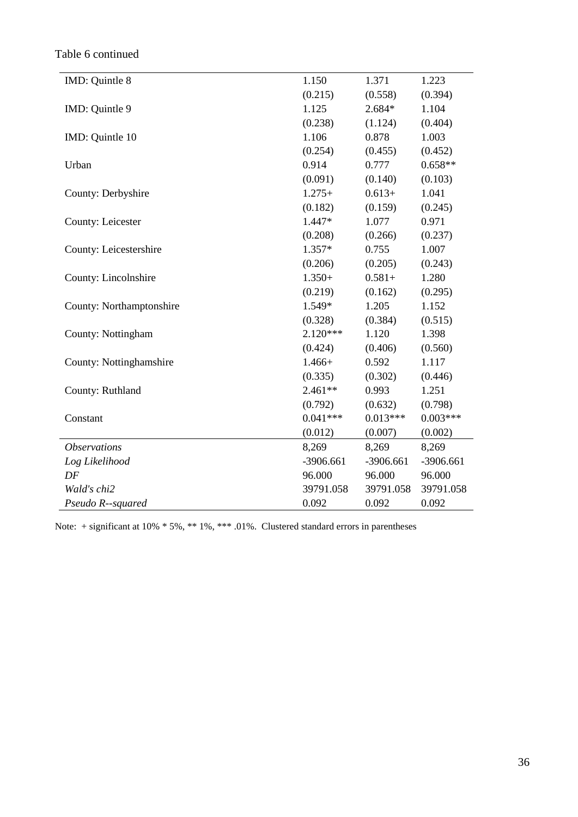Table 6 continued

| IMD: Quintle 8           | 1.150       | 1.371       | 1.223      |
|--------------------------|-------------|-------------|------------|
|                          | (0.215)     | (0.558)     | (0.394)    |
| IMD: Quintle 9           | 1.125       | 2.684*      | 1.104      |
|                          | (0.238)     | (1.124)     | (0.404)    |
| IMD: Quintle 10          | 1.106       | 0.878       | 1.003      |
|                          | (0.254)     | (0.455)     | (0.452)    |
| Urban                    | 0.914       | 0.777       | $0.658**$  |
|                          | (0.091)     | (0.140)     | (0.103)    |
| County: Derbyshire       | $1.275+$    | $0.613+$    | 1.041      |
|                          | (0.182)     | (0.159)     | (0.245)    |
| <b>County: Leicester</b> | 1.447*      | 1.077       | 0.971      |
|                          | (0.208)     | (0.266)     | (0.237)    |
| County: Leicestershire   | $1.357*$    | 0.755       | 1.007      |
|                          | (0.206)     | (0.205)     | (0.243)    |
| County: Lincolnshire     | $1.350+$    | $0.581+$    | 1.280      |
|                          | (0.219)     | (0.162)     | (0.295)    |
| County: Northamptonshire | 1.549*      | 1.205       | 1.152      |
|                          | (0.328)     | (0.384)     | (0.515)    |
| County: Nottingham       | $2.120***$  | 1.120       | 1.398      |
|                          | (0.424)     | (0.406)     | (0.560)    |
| County: Nottinghamshire  | $1.466+$    | 0.592       | 1.117      |
|                          | (0.335)     | (0.302)     | (0.446)    |
| County: Ruthland         | $2.461**$   | 0.993       | 1.251      |
|                          | (0.792)     | (0.632)     | (0.798)    |
| Constant                 | $0.041***$  | $0.013***$  | $0.003***$ |
|                          | (0.012)     | (0.007)     | (0.002)    |
| <b>Observations</b>      | 8,269       | 8,269       | 8,269      |
| Log Likelihood           | $-3906.661$ | $-3906.661$ | -3906.661  |
| DF                       | 96.000      | 96.000      | 96.000     |
| Wald's chi2              | 39791.058   | 39791.058   | 39791.058  |
| Pseudo R--squared        | 0.092       | 0.092       | 0.092      |

Note: + significant at 10% \* 5%, \*\* 1%, \*\*\* .01%. Clustered standard errors in parentheses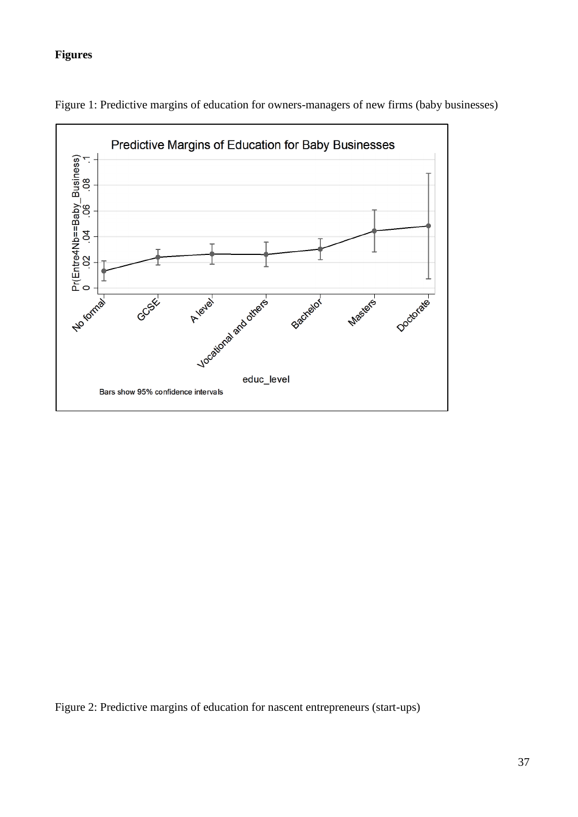# **Figures**



Figure 1: Predictive margins of education for owners-managers of new firms (baby businesses)

Figure 2: Predictive margins of education for nascent entrepreneurs (start-ups)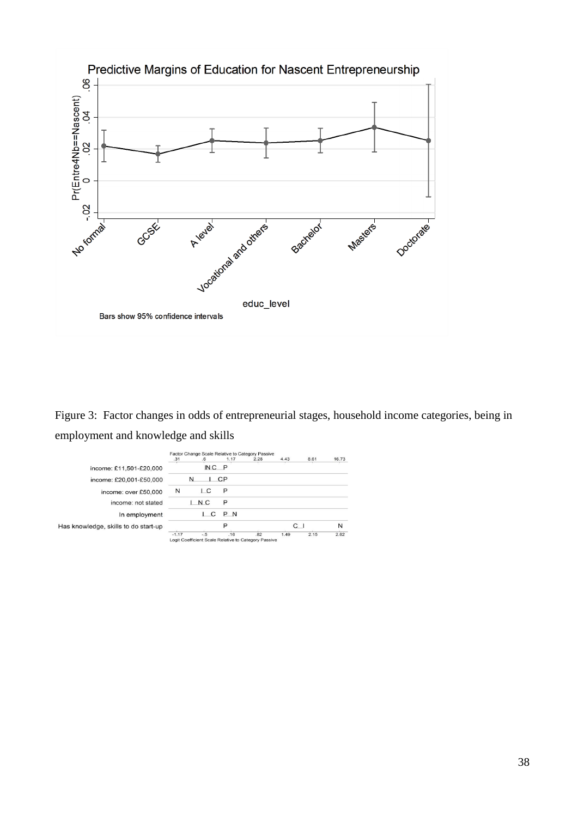

Figure 3: Factor changes in odds of entrepreneurial stages, household income categories, being in employment and knowledge and skills

|                                      | Factor Change Scale Relative to Category Passive |                                                      |           |      |                |      |       |
|--------------------------------------|--------------------------------------------------|------------------------------------------------------|-----------|------|----------------|------|-------|
|                                      | .31                                              | .6                                                   | 1.17      | 2.28 | 4.43           | 8.61 | 16.73 |
| income: £11,501-£20,000              |                                                  | $NC$ $P$                                             |           |      |                |      |       |
| income: £20,001-£50,000              |                                                  | N                                                    | <b>CP</b> |      |                |      |       |
| income: over £50,000                 | N                                                | IС                                                   | P         |      |                |      |       |
| income: not stated                   |                                                  | N C                                                  | P         |      |                |      |       |
| In employment                        |                                                  | C                                                    | P N       |      |                |      |       |
| Has knowledge, skills to do start-up |                                                  |                                                      | P         |      | C <sub>1</sub> |      | N     |
|                                      | $-1.17$                                          | $-5$                                                 | .16       | .82  | 1.49           | 2.15 | 2.82  |
|                                      |                                                  | Logit Coefficient Scale Relative to Category Passive |           |      |                |      |       |